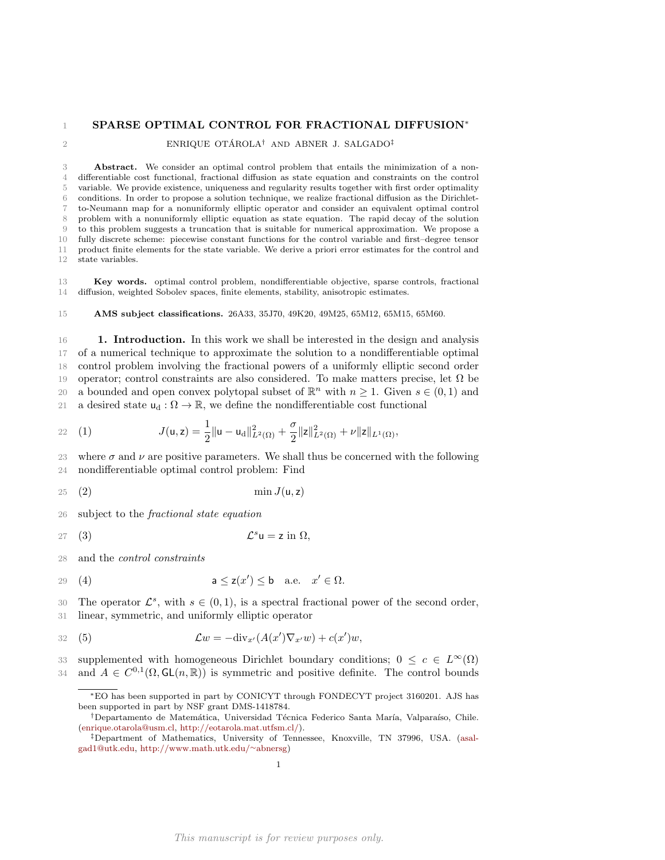#### SPARSE OPTIMAL CONTROL FOR FRACTIONAL DIFFUSION<sup>∗</sup> 1

2 ENRIQUE OTÁROLA<sup>†</sup> AND ABNER J. SALGADO<sup>‡</sup>

 Abstract. We consider an optimal control problem that entails the minimization of a non- differentiable cost functional, fractional diffusion as state equation and constraints on the control variable. We provide existence, uniqueness and regularity results together with first order optimality conditions. In order to propose a solution technique, we realize fractional diffusion as the Dirichlet- to-Neumann map for a nonuniformly elliptic operator and consider an equivalent optimal control problem with a nonuniformly elliptic equation as state equation. The rapid decay of the solution to this problem suggests a truncation that is suitable for numerical approximation. We propose a fully discrete scheme: piecewise constant functions for the control variable and first–degree tensor product finite elements for the state variable. We derive a priori error estimates for the control and state variables.

13 Key words. optimal control problem, nondifferentiable objective, sparse controls, fractional 14 diffusion, weighted Sobolev spaces, finite elements, stability, anisotropic estimates.

15 AMS subject classifications. 26A33, 35J70, 49K20, 49M25, 65M12, 65M15, 65M60.

16 **1. Introduction.** In this work we shall be interested in the design and analysis 17 of a numerical technique to approximate the solution to a nondifferentiable optimal 18 control problem involving the fractional powers of a uniformly elliptic second order 19 operator; control constraints are also considered. To make matters precise, let  $\Omega$  be 20 a bounded and open convex polytopal subset of  $\mathbb{R}^n$  with  $n \geq 1$ . Given  $s \in (0, 1)$  and 21 a desired state  $u_d : \Omega \to \mathbb{R}$ , we define the nondifferentiable cost functional

<span id="page-0-4"></span>22 (1) 
$$
J(\mathsf{u},\mathsf{z})=\frac{1}{2}\|\mathsf{u}-\mathsf{u}_{\mathrm{d}}\|_{L^2(\Omega)}^2+\frac{\sigma}{2}\|\mathsf{z}\|_{L^2(\Omega)}^2+\nu\|\mathsf{z}\|_{L^1(\Omega)},
$$

23 where  $\sigma$  and  $\nu$  are positive parameters. We shall thus be concerned with the following 24 nondifferentiable optimal control problem: Find

<span id="page-0-0"></span>
$$
25 \quad (2) \qquad \qquad \min J(\mathsf{u},\mathsf{z})
$$

26 subject to the fractional state equation

<span id="page-0-2"></span>
$$
27 \quad (3) \qquad \qquad \mathcal{L}^s \mathsf{u} = \mathsf{z} \text{ in } \Omega,
$$

28 and the control constraints

<span id="page-0-1"></span>
$$
29 \quad (4) \qquad \qquad \mathsf{a} \leq \mathsf{z}(x') \leq \mathsf{b} \quad \text{a.e.} \quad x' \in \Omega.
$$

30 The operator  $\mathcal{L}^s$ , with  $s \in (0,1)$ , is a spectral fractional power of the second order, 31 linear, symmetric, and uniformly elliptic operator

$$
32 \quad (5) \qquad \mathcal{L}w = -\text{div}_{x'}(A(x')\nabla_{x'}w) + c(x')w,
$$

33 supplemented with homogeneous Dirichlet boundary conditions;  $0 \leq c \in L^{\infty}(\Omega)$ 34 and  $A \in C^{0,1}(\Omega, \mathsf{GL}(n,\mathbb{R}))$  is symmetric and positive definite. The control bounds

<span id="page-0-3"></span><sup>∗</sup>EO has been supported in part by CONICYT through FONDECYT project 3160201. AJS has been supported in part by NSF grant DMS-1418784.

<sup>&</sup>lt;sup>†</sup>Departamento de Matemática, Universidad Técnica Federico Santa María, Valparaíso, Chile. [\(enrique.otarola@usm.cl,](mailto:enrique.otarola@usm.cl) [http://eotarola.mat.utfsm.cl/\)](http://eotarola.mat.utfsm.cl/).

<sup>‡</sup>Department of Mathematics, University of Tennessee, Knoxville, TN 37996, USA. [\(asal](mailto:asalgad1@utk.edu)[gad1@utk.edu,](mailto:asalgad1@utk.edu) [http://www.math.utk.edu/](http://www.math.utk.edu/~abnersg)∼abnersg)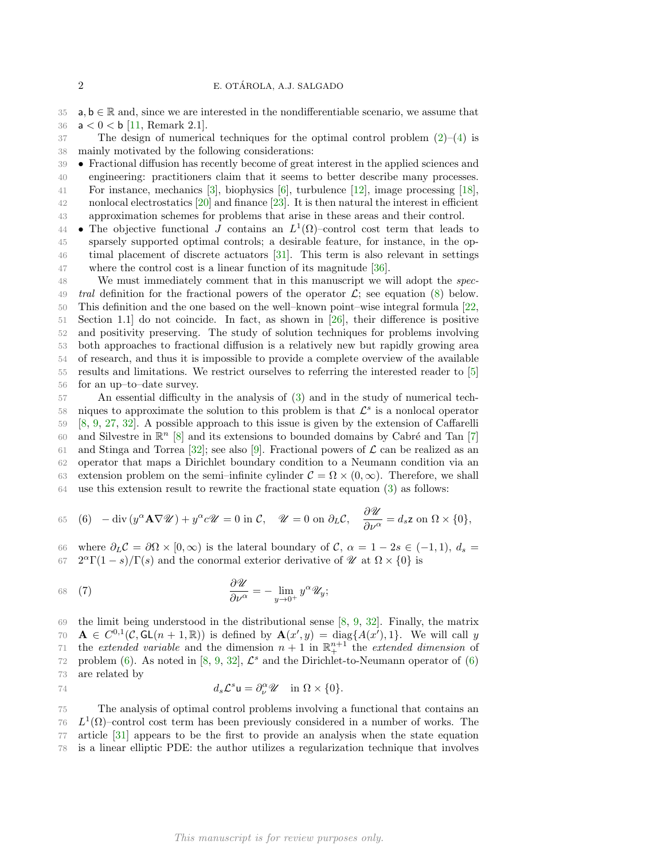35 a,  $\mathbf{b} \in \mathbb{R}$  and, since we are interested in the nondifferentiable scenario, we assume that 36  $a < 0 < b$  [\[11,](#page-16-0) Remark 2.1].

 $37$  The design of numerical techniques for the optimal control problem  $(2)-(4)$  $(2)-(4)$  is 38 mainly motivated by the following considerations:

- 39 Fractional diffusion has recently become of great interest in the applied sciences and 40 engineering: practitioners claim that it seems to better describe many processes. 41 For instance, mechanics [\[3\]](#page-16-1), biophysics [\[6\]](#page-16-2), turbulence [\[12\]](#page-17-0), image processing [\[18\]](#page-17-1), 42 nonlocal electrostatics [\[20\]](#page-17-2) and finance [\[23\]](#page-17-3). It is then natural the interest in efficient 43 approximation schemes for problems that arise in these areas and their control.
- 44 The objective functional J contains an  $L^1(\Omega)$ -control cost term that leads to 45 sparsely supported optimal controls; a desirable feature, for instance, in the op-46 timal placement of discrete actuators [\[31\]](#page-17-4). This term is also relevant in settings 47 where the control cost is a linear function of its magnitude [\[36\]](#page-18-0).

 We must immediately comment that in this manuscript we will adopt the spec-49 tral definition for the fractional powers of the operator  $\mathcal{L}$ ; see equation [\(8\)](#page-3-0) below. This definition and the one based on the well–known point–wise integral formula [\[22,](#page-17-5) Section 1.1] do not coincide. In fact, as shown in [\[26\]](#page-17-6), their difference is positive and positivity preserving. The study of solution techniques for problems involving both approaches to fractional diffusion is a relatively new but rapidly growing area of research, and thus it is impossible to provide a complete overview of the available results and limitations. We restrict ourselves to referring the interested reader to [\[5\]](#page-16-3) for an up–to–date survey.

57 An essential difficulty in the analysis of [\(3\)](#page-0-2) and in the study of numerical tech-58 niques to approximate the solution to this problem is that  $\mathcal{L}^s$  is a nonlocal operator 59 [\[8,](#page-16-4) [9,](#page-16-5) [27,](#page-17-7) [32\]](#page-17-8). A possible approach to this issue is given by the extension of Caffarelli 60 and Silvestre in  $\mathbb{R}^n$  [\[8\]](#page-16-4) and its extensions to bounded domains by Cabré and Tan [\[7\]](#page-16-6) 61 and Stinga and Torrea [\[32\]](#page-17-8); see also [\[9\]](#page-16-5). Fractional powers of  $\mathcal L$  can be realized as an 62 operator that maps a Dirichlet boundary condition to a Neumann condition via an 63 extension problem on the semi–infinite cylinder  $\mathcal{C} = \Omega \times (0, \infty)$ . Therefore, we shall 64 use this extension result to rewrite the fractional state equation [\(3\)](#page-0-2) as follows:

<span id="page-1-0"></span>65 (6) 
$$
-\operatorname{div}(y^{\alpha}\mathbf{A}\nabla\mathcal{U}) + y^{\alpha}c\mathcal{U} = 0
$$
 in  $\mathcal{C}$ ,  $\mathcal{U} = 0$  on  $\partial_{L}\mathcal{C}$ ,  $\frac{\partial\mathcal{U}}{\partial\nu^{\alpha}} = d_{s}\mathbf{z}$  on  $\Omega \times \{0\}$ ,

66 where  $\partial_L C = \partial \Omega \times [0, \infty)$  is the lateral boundary of  $C, \alpha = 1 - 2s \in (-1, 1), d_s =$ 67  $2^{\alpha}\Gamma(1-s)/\Gamma(s)$  and the conormal exterior derivative of  $\mathcal{U}$  at  $\Omega \times \{0\}$  is

$$
\frac{\partial \mathscr{U}}{\partial \nu^{\alpha}} = -\lim_{y \to 0^+} y^{\alpha} \mathscr{U}_y;
$$

69 the limit being understood in the distributional sense [\[8,](#page-16-4) [9,](#page-16-5) [32\]](#page-17-8). Finally, the matrix 70  $\mathbf{A} \in C^{0,1}(\mathcal{C}, GL(n+1,\mathbb{R}))$  is defined by  $\mathbf{A}(x', y) = \text{diag}\{A(x'), 1\}$ . We will call y 71 the extended variable and the dimension  $n + 1$  in  $\mathbb{R}^{n+1}_+$  the extended dimension of 72 problem [\(6\)](#page-1-0). As noted in [\[8,](#page-16-4) [9,](#page-16-5) [32\]](#page-17-8),  $\mathcal{L}^s$  and the Dirichlet-to-Neumann operator of (6) 73 are related by

$$
d_s \mathcal{L}^s \mathsf{u} = \partial_\nu^\alpha \mathscr{U} \quad \text{in } \Omega \times \{0\}.
$$

 The analysis of optimal control problems involving a functional that contains an  $L^1(\Omega)$ –control cost term has been previously considered in a number of works. The article [\[31\]](#page-17-4) appears to be the first to provide an analysis when the state equation is a linear elliptic PDE: the author utilizes a regularization technique that involves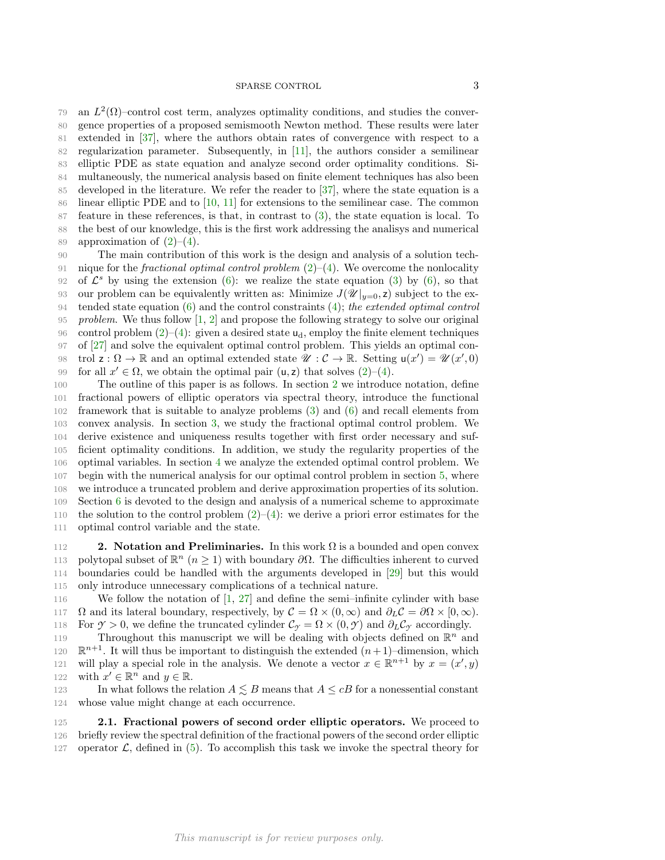## SPARSE CONTROL 3

79 an  $L^2(\Omega)$ –control cost term, analyzes optimality conditions, and studies the conver- gence properties of a proposed semismooth Newton method. These results were later extended in [\[37\]](#page-18-1), where the authors obtain rates of convergence with respect to a regularization parameter. Subsequently, in [\[11\]](#page-16-0), the authors consider a semilinear elliptic PDE as state equation and analyze second order optimality conditions. Si- multaneously, the numerical analysis based on finite element techniques has also been developed in the literature. We refer the reader to [\[37\]](#page-18-1), where the state equation is a linear elliptic PDE and to [\[10,](#page-16-7) [11\]](#page-16-0) for extensions to the semilinear case. The common feature in these references, is that, in contrast to [\(3\)](#page-0-2), the state equation is local. To the best of our knowledge, this is the first work addressing the analisys and numerical 89 approximation of  $(2)–(4)$  $(2)–(4)$ .

90 The main contribution of this work is the design and analysis of a solution tech-91 nique for the *fractional optimal control problem*  $(2)-(4)$  $(2)-(4)$  $(2)-(4)$ . We overcome the nonlocality 92 of  $\mathcal{L}^s$  by using the extension [\(6\)](#page-1-0): we realize the state equation [\(3\)](#page-0-2) by (6), so that 93 our problem can be equivalently written as: Minimize  $J(\mathscr{U}|_{y=0}, z)$  subject to the ex-94 tended state equation [\(6\)](#page-1-0) and the control constraints [\(4\)](#page-0-1); the extended optimal control 95 problem. We thus follow  $\left[1, 2\right]$  and propose the following strategy to solve our original 96 control problem  $(2)$ – $(4)$ : given a desired state  $u_d$ , employ the finite element techniques 97 of [\[27\]](#page-17-7) and solve the equivalent optimal control problem. This yields an optimal con-98 trol  $\mathsf{z}: \Omega \to \mathbb{R}$  and an optimal extended state  $\mathscr{U}: \mathcal{C} \to \mathbb{R}$ . Setting  $\mathsf{u}(x') = \mathscr{U}(x', 0)$ 99 for all  $x' \in \Omega$ , we obtain the optimal pair  $(u, z)$  that solves  $(2)-(4)$  $(2)-(4)$ .

 The outline of this paper is as follows. In section [2](#page-2-0) we introduce notation, define fractional powers of elliptic operators via spectral theory, introduce the functional framework that is suitable to analyze problems [\(3\)](#page-0-2) and [\(6\)](#page-1-0) and recall elements from convex analysis. In section [3,](#page-4-0) we study the fractional optimal control problem. We derive existence and uniqueness results together with first order necessary and suf- ficient optimality conditions. In addition, we study the regularity properties of the optimal variables. In section [4](#page-7-0) we analyze the extended optimal control problem. We begin with the numerical analysis for our optimal control problem in section [5,](#page-8-0) where we introduce a truncated problem and derive approximation properties of its solution. Section [6](#page-10-0) is devoted to the design and analysis of a numerical scheme to approximate 110 the solution to the control problem  $(2)$ – $(4)$ : we derive a priori error estimates for the optimal control variable and the state.

<span id="page-2-0"></span>**2. Notation and Preliminaries.** In this work  $\Omega$  is a bounded and open convex 113 polytopal subset of  $\mathbb{R}^n$  ( $n \geq 1$ ) with boundary  $\partial \Omega$ . The difficulties inherent to curved boundaries could be handled with the arguments developed in [\[29\]](#page-17-9) but this would only introduce unnecessary complications of a technical nature.

116 We follow the notation of [\[1,](#page-16-8) [27\]](#page-17-7) and define the semi–infinite cylinder with base 117  $\Omega$  and its lateral boundary, respectively, by  $\mathcal{C} = \Omega \times (0, \infty)$  and  $\partial_L \mathcal{C} = \partial \Omega \times [0, \infty)$ . 118 For  $\gamma > 0$ , we define the truncated cylinder  $\mathcal{C}_{\gamma} = \Omega \times (0, \gamma)$  and  $\partial_L \mathcal{C}_{\gamma}$  accordingly.

119 Throughout this manuscript we will be dealing with objects defined on  $\mathbb{R}^n$  and 120  $\mathbb{R}^{n+1}$ . It will thus be important to distinguish the extended  $(n+1)$ -dimension, which 121 will play a special role in the analysis. We denote a vector  $x \in \mathbb{R}^{n+1}$  by  $x = (x', y)$ 122 with  $x' \in \mathbb{R}^n$  and  $y \in \mathbb{R}$ .

123 In what follows the relation  $A \lesssim B$  means that  $A \leq cB$  for a nonessential constant 124 whose value might change at each occurrence.

<span id="page-2-1"></span>125 2.1. Fractional powers of second order elliptic operators. We proceed to 126 briefly review the spectral definition of the fractional powers of the second order elliptic 127 operator  $\mathcal{L}$ , defined in [\(5\)](#page-0-3). To accomplish this task we invoke the spectral theory for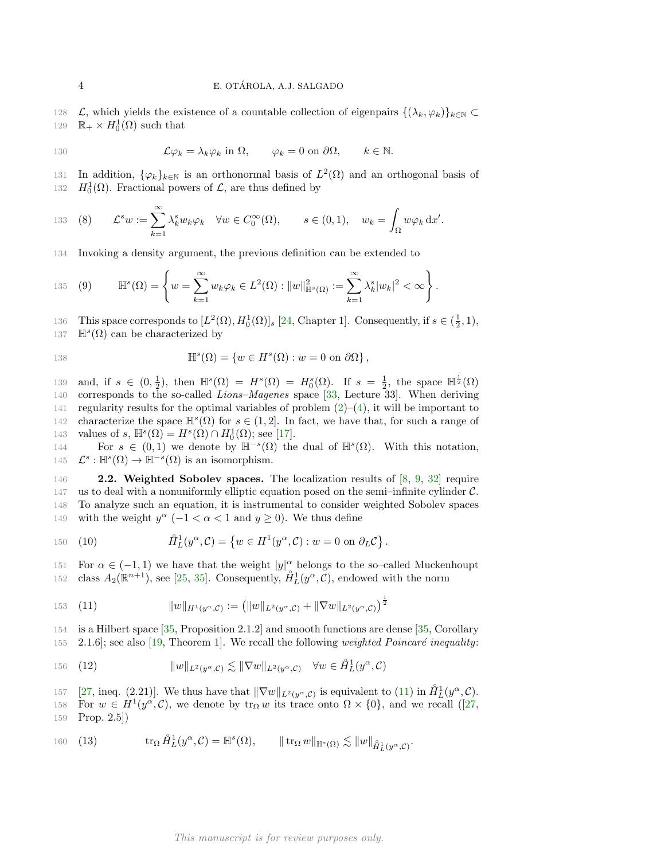128 L, which yields the existence of a countable collection of eigenpairs  $\{(\lambda_k, \varphi_k)\}_{k\in\mathbb{N}}\subset$ 129  $\mathbb{R}_+ \times H_0^1(\Omega)$  such that

130 
$$
\mathcal{L}\varphi_k = \lambda_k \varphi_k \text{ in } \Omega, \qquad \varphi_k = 0 \text{ on } \partial\Omega, \qquad k \in \mathbb{N}.
$$

131 In addition,  $\{\varphi_k\}_{k\in\mathbb{N}}$  is an orthonormal basis of  $L^2(\Omega)$  and an orthogonal basis of 132  $H_0^1(\Omega)$ . Fractional powers of  $\mathcal{L}$ , are thus defined by

<span id="page-3-0"></span>133 (8) 
$$
\mathcal{L}^s w := \sum_{k=1}^{\infty} \lambda_k^s w_k \varphi_k \quad \forall w \in C_0^{\infty}(\Omega), \qquad s \in (0,1), \quad w_k = \int_{\Omega} w \varphi_k \, dx'.
$$

134 Invoking a density argument, the previous definition can be extended to

135 (9) 
$$
\mathbb{H}^s(\Omega) = \left\{ w = \sum_{k=1}^{\infty} w_k \varphi_k \in L^2(\Omega) : ||w||_{\mathbb{H}^s(\Omega)}^2 := \sum_{k=1}^{\infty} \lambda_k^s |w_k|^2 < \infty \right\}.
$$

136 This space corresponds to  $[L^2(\Omega), H_0^1(\Omega)]_s$  [\[24,](#page-17-10) Chapter 1]. Consequently, if  $s \in (\frac{1}{2}, 1)$ ,

137  $\mathbb{H}^{s}(\Omega)$  can be characterized by

138 
$$
\mathbb{H}^s(\Omega) = \{ w \in H^s(\Omega) : w = 0 \text{ on } \partial\Omega \},
$$

139 and, if  $s \in (0, \frac{1}{2})$ , then  $\mathbb{H}^s(\Omega) = H^s(\Omega) = H_0^s(\Omega)$ . If  $s = \frac{1}{2}$ , the space  $\mathbb{H}^{\frac{1}{2}}(\Omega)$ 140 corresponds to the so-called *Lions–Magenes* space [\[33,](#page-17-11) Lecture 33]. When deriving 141 regularity results for the optimal variables of problem  $(2)-(4)$  $(2)-(4)$ , it will be important to 142 characterize the space  $\mathbb{H}^s(\Omega)$  for  $s \in (1,2]$ . In fact, we have that, for such a range of 143 values of s,  $\mathbb{H}^s(\Omega) = H^s(\Omega) \cap H_0^1(\Omega)$ ; see [\[17\]](#page-17-12).

144 For  $s \in (0,1)$  we denote by  $\mathbb{H}^{-s}(\Omega)$  the dual of  $\mathbb{H}^{s}(\Omega)$ . With this notation, 145  $\mathcal{L}^s : \mathbb{H}^s(\Omega) \to \mathbb{H}^{-s}(\Omega)$  is an isomorphism.

146 **2.2. Weighted Sobolev spaces.** The localization results of [\[8,](#page-16-4) [9,](#page-16-5) [32\]](#page-17-8) require 147 us to deal with a nonuniformly elliptic equation posed on the semi-infinite cylinder  $\mathcal{C}$ . 148 To analyze such an equation, it is instrumental to consider weighted Sobolev spaces 149 with the weight  $y^{\alpha}$  (-1 <  $\alpha$  < 1 and  $y \ge 0$ ). We thus define

150 (10) 
$$
\hat{H}_L^1(y^\alpha, \mathcal{C}) = \left\{ w \in H^1(y^\alpha, \mathcal{C}) : w = 0 \text{ on } \partial_L \mathcal{C} \right\}.
$$

151 For  $\alpha \in (-1,1)$  we have that the weight  $|y|^{\alpha}$  belongs to the so–called Muckenhoupt 152 class  $A_2(\mathbb{R}^{n+1})$ , see [\[25,](#page-17-13) [35\]](#page-17-14). Consequently,  $\mathring{H}_L^1(y^\alpha, \mathring{\mathcal{C}})$ , endowed with the norm

<span id="page-3-1"></span>153 (11) 
$$
||w||_{H^1(y^{\alpha}, \mathcal{C})} := (||w||_{L^2(y^{\alpha}, \mathcal{C})} + ||\nabla w||_{L^2(y^{\alpha}, \mathcal{C})})^{\frac{1}{2}}
$$

154 is a Hilbert space [\[35,](#page-17-14) Proposition 2.1.2] and smooth functions are dense [\[35,](#page-17-14) Corollary 155 2.1.6]; see also [\[19,](#page-17-15) Theorem 1]. We recall the following *weighted Poincaré inequality:* 

156 (12) 
$$
||w||_{L^2(y^{\alpha}, \mathcal{C})} \lesssim ||\nabla w||_{L^2(y^{\alpha}, \mathcal{C})} \quad \forall w \in \mathring{H}_L^1(y^{\alpha}, \mathcal{C})
$$

157 [\[27,](#page-17-7) ineq. (2.21)]. We thus have that  $\|\nabla w\|_{L^2(y^\alpha, \mathcal{C})}$  is equivalent to [\(11\)](#page-3-1) in  $\mathring{H}_L^1(y^\alpha, \mathcal{C})$ . 158For  $w \in H^1(y^\alpha, \mathcal{C})$ , we denote by  $\text{tr}_\Omega w$  its trace onto  $\Omega \times \{0\}$ , and we recall ([\[27,](#page-17-7) 159 Prop. 2.5])

<span id="page-3-2"></span>160 (13) 
$$
\operatorname{tr}_{\Omega} \hat{H}_L^1(y^{\alpha}, \mathcal{C}) = \mathbb{H}^s(\Omega), \qquad \|\operatorname{tr}_{\Omega} w\|_{\mathbb{H}^s(\Omega)} \lesssim \|w\|_{\hat{H}_L^1(y^{\alpha}, \mathcal{C})}.
$$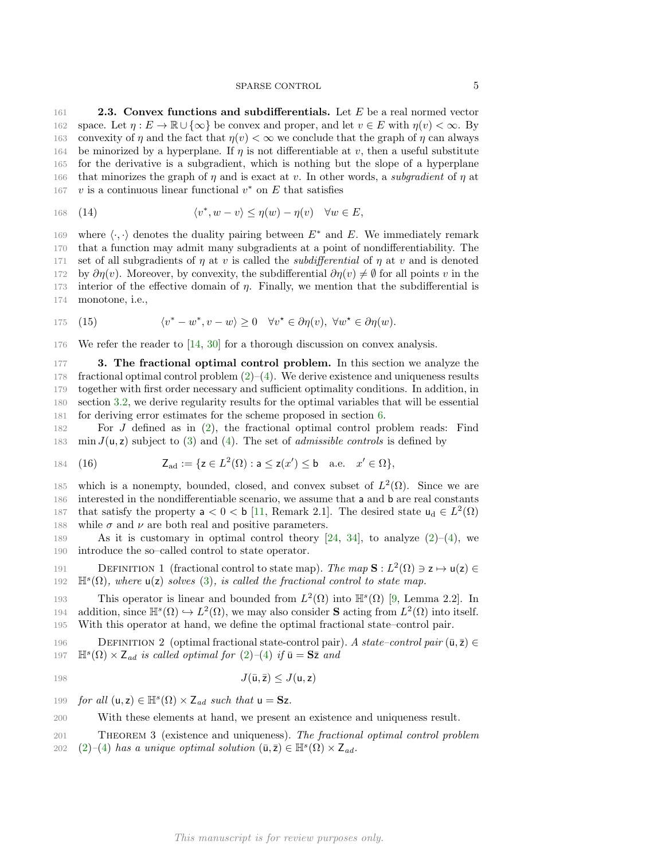161 **2.3. Convex functions and subdifferentials.** Let E be a real normed vector 162 space. Let  $\eta : E \to \mathbb{R} \cup \{\infty\}$  be convex and proper, and let  $v \in E$  with  $\eta(v) < \infty$ . By 163 convexity of  $\eta$  and the fact that  $\eta(v) < \infty$  we conclude that the graph of  $\eta$  can always 164 be minorized by a hyperplane. If  $\eta$  is not differentiable at v, then a useful substitute 165 for the derivative is a subgradient, which is nothing but the slope of a hyperplane 166 that minorizes the graph of  $\eta$  and is exact at v. In other words, a subgradient of  $\eta$  at 167 v is a continuous linear functional  $v^*$  on E that satisfies

<span id="page-4-3"></span>168 (14) 
$$
\langle v^*, w-v\rangle \leq \eta(w)-\eta(v) \quad \forall w \in E,
$$

169 where  $\langle \cdot, \cdot \rangle$  denotes the duality pairing between  $E^*$  and E. We immediately remark 170 that a function may admit many subgradients at a point of nondifferentiability. The 171 set of all subgradients of  $\eta$  at v is called the *subdifferential* of  $\eta$  at v and is denoted 172 by  $\partial \eta(v)$ . Moreover, by convexity, the subdifferential  $\partial \eta(v) \neq \emptyset$  for all points v in the 173 interior of the effective domain of  $\eta$ . Finally, we mention that the subdifferential is 174 monotone, i.e.,

<span id="page-4-1"></span>175 (15) 
$$
\langle v^* - w^*, v - w \rangle \ge 0 \quad \forall v^* \in \partial \eta(v), \ \forall w^* \in \partial \eta(w).
$$

176 We refer the reader to [\[14,](#page-17-16) [30\]](#page-17-17) for a thorough discussion on convex analysis.

<span id="page-4-0"></span>177 3. The fractional optimal control problem. In this section we analyze the 178 fractional optimal control problem  $(2)-(4)$  $(2)-(4)$ . We derive existence and uniqueness results 179 together with first order necessary and sufficient optimality conditions. In addition, in 180 section [3.2,](#page-6-0) we derive regularity results for the optimal variables that will be essential 181 for deriving error estimates for the scheme proposed in section [6.](#page-10-0)

182 For J defined as in [\(2\)](#page-0-0), the fractional optimal control problem reads: Find 183 min  $J(u, z)$  subject to [\(3\)](#page-0-2) and [\(4\)](#page-0-1). The set of *admissible controls* is defined by

<span id="page-4-2"></span>184 (16) 
$$
Z_{ad} := \{ z \in L^2(\Omega) : a \le z(x') \le b \quad a.e. \quad x' \in \Omega \},
$$

185 which is a nonempty, bounded, closed, and convex subset of  $L^2(\Omega)$ . Since we are 186 interested in the nondifferentiable scenario, we assume that a and b are real constants 187 that satisfy the property  $a < 0 < b$  [\[11,](#page-16-0) Remark 2.1]. The desired state  $u_d \in L^2(\Omega)$ 188 while  $\sigma$  and  $\nu$  are both real and positive parameters.

189 As it is customary in optimal control theory  $[24, 34]$  $[24, 34]$ , to analyze  $(2)-(4)$  $(2)-(4)$ , we 190 introduce the so–called control to state operator.

191 DEFINITION 1 (fractional control to state map). The map  $\mathbf{S}: L^2(\Omega) \ni \mathbf{z} \mapsto \mathbf{u}(\mathbf{z}) \in$ 192  $\mathbb{H}^{s}(\Omega)$ , where  $u(z)$  solves [\(3\)](#page-0-2), is called the fractional control to state map.

193 This operator is linear and bounded from  $L^2(\Omega)$  into  $\mathbb{H}^s(\Omega)$  [\[9,](#page-16-5) Lemma 2.2]. In 194 addition, since  $\mathbb{H}^s(\Omega) \hookrightarrow L^2(\Omega)$ , we may also consider **S** acting from  $L^2(\Omega)$  into itself. 195 With this operator at hand, we define the optimal fractional state–control pair.

196 DEFINITION 2 (optimal fractional state-control pair). A state-control pair  $(\bar{u}, \bar{z}) \in$ 197  $\mathbb{H}^{s}(\Omega) \times Z_{ad}$  is called optimal for  $(2)-(4)$  $(2)-(4)$  $(2)-(4)$  if  $\bar{u} = S\bar{z}$  and

$$
J(\bar{\mathbf{u}}, \bar{\mathbf{z}}) \le J(\mathbf{u}, \mathbf{z})
$$

199 for all  $(u, z) \in \mathbb{H}^s(\Omega) \times Z_{ad}$  such that  $u = Sz$ .

200 With these elements at hand, we present an existence and uniqueness result.

<sup>201</sup> Theorem 3 (existence and uniqueness). The fractional optimal control problem 202 [\(2\)](#page-0-0)–[\(4\)](#page-0-1) has a unique optimal solution  $(\bar{\mathsf{u}}, \bar{\mathsf{z}}) \in \mathbb{H}^s(\Omega) \times \mathsf{Z}_{ad}$ .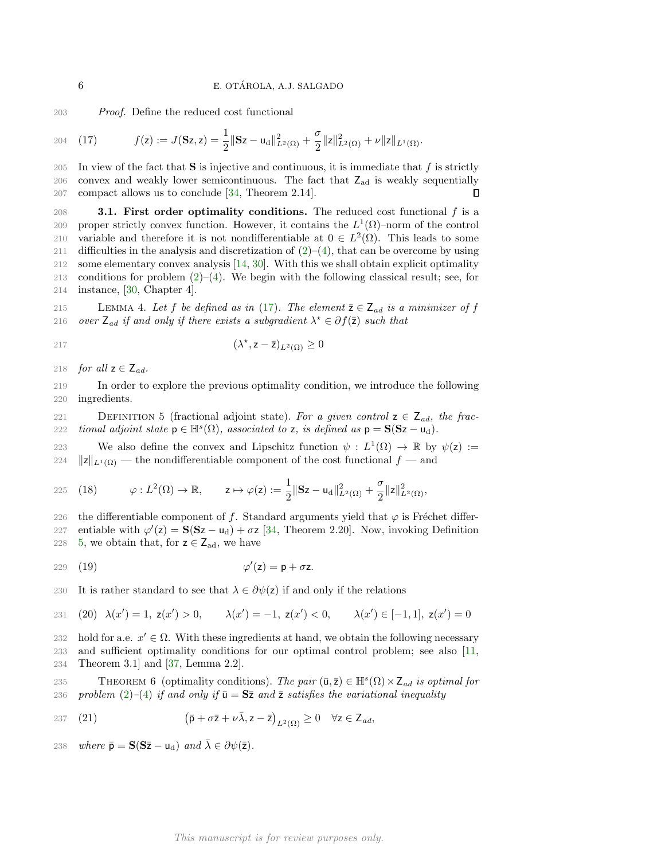203 Proof. Define the reduced cost functional

<span id="page-5-0"></span>204 (17) 
$$
f(z) := J(\mathbf{S}z, z) = \frac{1}{2} ||\mathbf{S}z - u_d||^2_{L^2(\Omega)} + \frac{\sigma}{2} ||z||^2_{L^2(\Omega)} + \nu ||z||_{L^1(\Omega)}.
$$

205 In view of the fact that  $S$  is injective and continuous, it is immediate that  $f$  is strictly 206 convex and weakly lower semicontinuous. The fact that  $Z_{\text{ad}}$  is weakly sequentially 207 compact allows us to conclude [\[34,](#page-17-18) Theorem 2.14]. П

208 **3.1. First order optimality conditions.** The reduced cost functional  $f$  is a 209 proper strictly convex function. However, it contains the  $L^1(\Omega)$ –norm of the control 210 variable and therefore it is not nondifferentiable at  $0 \in L^2(\Omega)$ . This leads to some 211 difficulties in the analysis and discretization of  $(2)-(4)$  $(2)-(4)$ , that can be overcome by using 212 some elementary convex analysis [\[14,](#page-17-16) [30\]](#page-17-17). With this we shall obtain explicit optimality 213 conditions for problem  $(2)$ – $(4)$ . We begin with the following classical result; see, for 214 instance, [\[30,](#page-17-17) Chapter 4].

<span id="page-5-2"></span>215 LEMMA 4. Let f be defined as in [\(17\)](#page-5-0). The element  $\overline{z} \in Z_{ad}$  is a minimizer of f 216 over  $Z_{ad}$  if and only if there exists a subgradient  $\lambda^* \in \partial f(\bar{z})$  such that

$$
( \lambda^*, \mathsf{z} - \overline{\mathsf{z}} )_{L^2(\Omega)} \ge 0
$$

218 for all  $z \in Z_{ad}$ .

219 In order to explore the previous optimality condition, we introduce the following 220 ingredients.

<span id="page-5-1"></span>221 DEFINITION 5 (fractional adjoint state). For a given control  $z \in Z_{ad}$ , the frac-222 *tional adjoint state*  $p \in \mathbb{H}^s(\Omega)$ , associated to z, is defined as  $p = S(Sz - u_d)$ .

223 We also define the convex and Lipschitz function  $\psi : L^1(\Omega) \to \mathbb{R}$  by  $\psi(z) :=$ 224  $||z||_{L^1(\Omega)}$  — the nondifferentiable component of the cost functional  $f$  — and

225 (18) 
$$
\varphi: L^2(\Omega) \to \mathbb{R}, \qquad z \mapsto \varphi(z) := \frac{1}{2} \|\mathbf{S} z - \mathbf{u}_d\|_{L^2(\Omega)}^2 + \frac{\sigma}{2} \|z\|_{L^2(\Omega)}^2,
$$

226 the differentiable component of f. Standard arguments yield that  $\varphi$  is Fréchet differ-

227 entiable with  $\varphi'(z) = S(Sz - u_d) + \sigma z$  [\[34,](#page-17-18) Theorem 2.20]. Now, invoking Definition 228 [5,](#page-5-1) we obtain that, for  $z \in Z_{ad}$ , we have

<span id="page-5-3"></span>
$$
229 \quad (19) \qquad \qquad \varphi'(z) = p + \sigma z.
$$

230 It is rather standard to see that  $\lambda \in \partial \psi(z)$  if and only if the relations

231 (20) 
$$
\lambda(x') = 1
$$
,  $z(x') > 0$ ,  $\lambda(x') = -1$ ,  $z(x') < 0$ ,  $\lambda(x') \in [-1, 1]$ ,  $z(x') = 0$ 

232 hold for a.e.  $x' \in \Omega$ . With these ingredients at hand, we obtain the following necessary 233 and sufficient optimality conditions for our optimal control problem; see also [\[11,](#page-16-0) 234 Theorem 3.1] and [\[37,](#page-18-1) Lemma 2.2].

THEOREM 6 (optimality conditions). The pair  $(\bar{\mathbf{u}}, \bar{\mathbf{z}}) \in \mathbb{H}^s(\Omega) \times \mathbb{Z}_{ad}$  is optimal for 236 problem  $(2)-(4)$  $(2)-(4)$  $(2)-(4)$  if and only if  $\bar{u} = S\bar{z}$  and  $\bar{z}$  satisfies the variational inequality

<span id="page-5-4"></span>237 (21) 
$$
(\bar{p} + \sigma \bar{z} + \nu \bar{\lambda}, z - \bar{z})_{L^2(\Omega)} \geq 0 \quad \forall z \in Z_{ad},
$$

238 where  $\bar{\mathbf{p}} = \mathbf{S}(\mathbf{S}\bar{\mathbf{z}} - \mathbf{u}_{d})$  and  $\bar{\lambda} \in \partial \psi(\bar{\mathbf{z}})$ .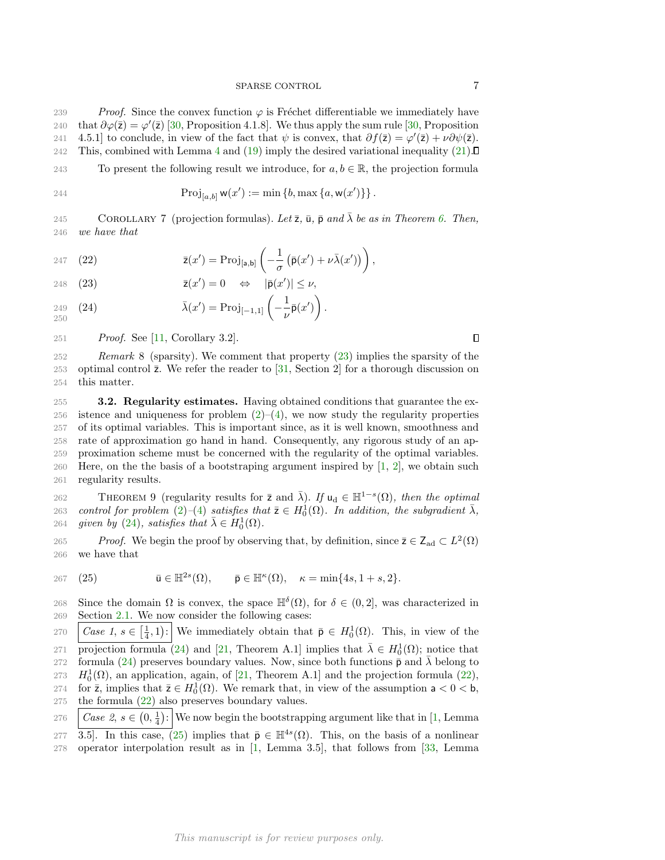239 Proof. Since the convex function  $\varphi$  is Fréchet differentiable we immediately have 240 that  $\partial \varphi(\bar{z}) = \varphi'(\bar{z})$  [\[30,](#page-17-17) Proposition 4.1.8]. We thus apply the sum rule [30, Proposition 241 4.5.1] to conclude, in view of the fact that  $\psi$  is convex, that  $\partial f(\bar{z}) = \varphi'(\bar{z}) + \nu \partial \psi(\bar{z})$ . 242 This, combined with Lemma [4](#page-5-2) and [\(19\)](#page-5-3) imply the desired variational inequality [\(21\)](#page-5-4).

243 To present the following result we introduce, for  $a, b \in \mathbb{R}$ , the projection formula

244 
$$
\operatorname{Proj}_{[a,b]} w(x') := \min \{b, \max \{a, w(x')\}\}\.
$$

COROLLARY 7 (projection formulas). Let  $\bar{z}$ ,  $\bar{u}$ ,  $\bar{p}$  and  $\bar{\lambda}$  be as in Theorem [6.](#page-5-4) Then, 246 we have that

<span id="page-6-3"></span>247 (22) 
$$
\bar{z}(x') = \text{Proj}_{[a,b]} \left( -\frac{1}{\sigma} \left( \bar{p}(x') + \nu \bar{\lambda}(x') \right) \right),
$$

<span id="page-6-1"></span>248 (23)  $\bar{z}(x') = 0 \Leftrightarrow |\bar{p}(x')| \leq \nu,$ 

<span id="page-6-2"></span>
$$
{}_{249}^{249} (24) \qquad \qquad \bar{\lambda}(x') = \text{Proj}_{[-1,1]} \left( -\frac{1}{\nu} \bar{\mathsf{p}}(x') \right).
$$

251 Proof. See [\[11,](#page-16-0) Corollary 3.2].

 $\Box$ 

252 Remark 8 (sparsity). We comment that property [\(23\)](#page-6-1) implies the sparsity of the 253 optimal control  $\bar{z}$ . We refer the reader to [\[31,](#page-17-4) Section 2] for a thorough discussion on 254 this matter.

<span id="page-6-0"></span>255 3.2. Regularity estimates. Having obtained conditions that guarantee the ex-256 istence and uniqueness for problem  $(2)$ – $(4)$ , we now study the regularity properties 257 of its optimal variables. This is important since, as it is well known, smoothness and 258 rate of approximation go hand in hand. Consequently, any rigorous study of an ap-259 proximation scheme must be concerned with the regularity of the optimal variables. 260 Here, on the the basis of a bootstraping argument inspired by  $[1, 2]$  $[1, 2]$ , we obtain such 261 regularity results.

<span id="page-6-5"></span>262 THEOREM 9 (regularity results for  $\bar{z}$  and  $\bar{\lambda}$ ). If  $u_d \in \mathbb{H}^{1-s}(\Omega)$ , then the optimal 263 control for problem  $(2)-(4)$  $(2)-(4)$  $(2)-(4)$  satisfies that  $\bar{z} \in H_0^1(\Omega)$ . In addition, the subgradient  $\bar{\lambda}$ , 264 given by [\(24\)](#page-6-2), satisfies that  $\bar{\lambda} \in H_0^1(\Omega)$ .

265 Proof. We begin the proof by observing that, by definition, since  $\overline{z} \in Z_{ad} \subset L^2(\Omega)$ 266 we have that

<span id="page-6-4"></span>(25)  $\qquad \qquad \bar{\mathbf{u}} \in \mathbb{H}^{2s}$ 267 (25)  $\bar{\mathbf{u}} \in \mathbb{H}^{2s}(\Omega)$ ,  $\bar{\mathbf{p}} \in \mathbb{H}^{\kappa}(\Omega)$ ,  $\kappa = \min\{4s, 1+s, 2\}.$ 

268 Since the domain  $\Omega$  is convex, the space  $\mathbb{H}^{\delta}(\Omega)$ , for  $\delta \in (0,2]$ , was characterized in 269 Section [2.1.](#page-2-1) We now consider the following cases:

270  $\Big| Case\ 1, s \in \Big[\frac{1}{4}, 1\Big)$ : We immediately obtain that  $\bar{\mathsf{p}} \in H_0^1(\Omega)$ . This, in view of the 271 projection formula [\(24\)](#page-6-2) and [\[21,](#page-17-19) Theorem A.1] implies that  $\bar{\lambda} \in H_0^1(\Omega)$ ; notice that 272 formula [\(24\)](#page-6-2) preserves boundary values. Now, since both functions  $\bar{\mathsf{p}}$  and  $\bar{\lambda}$  belong to 273  $H_0^1(\Omega)$ , an application, again, of [\[21,](#page-17-19) Theorem A.1] and the projection formula [\(22\)](#page-6-3), 274 for  $\bar{z}$ , implies that  $\bar{z} \in H_0^1(\Omega)$ . We remark that, in view of the assumption  $a < 0 < b$ , 275 the formula  $(22)$  also preserves boundary values.

276  $\Big| Case \ 2, s \in (0, \frac{1}{4}) : \Big|$  We now begin the bootstrapping argument like that in [\[1,](#page-16-8) Lemma

277 3.5. In this case, [\(25\)](#page-6-4) implies that  $\bar{\mathsf{p}} \in \mathbb{H}^{4s}(\Omega)$ . This, on the basis of a nonlinear 278 operator interpolation result as in [\[1,](#page-16-8) Lemma 3.5], that follows from [\[33,](#page-17-11) Lemma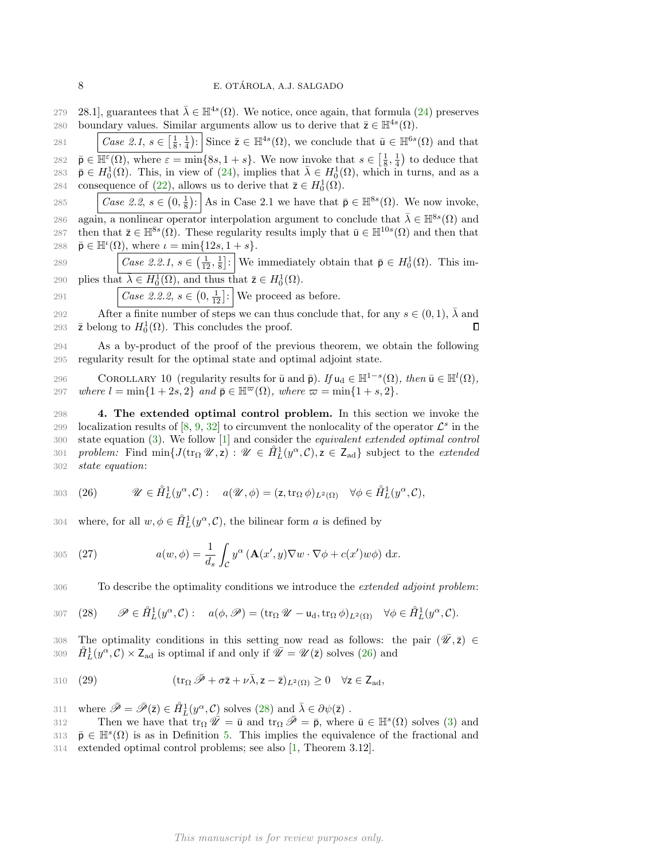279 28.1, guarantees that  $\bar{\lambda} \in \mathbb{H}^{4s}(\Omega)$ . We notice, once again, that formula [\(24\)](#page-6-2) preserves 280 boundary values. Similar arguments allow us to derive that  $\bar{z} \in \mathbb{H}^{4s}(\Omega)$ .

281 Case 2.1,  $s \in \left[\frac{1}{8}, \frac{1}{4}\right)$ : Since  $\overline{z} \in \mathbb{H}^{4s}(\Omega)$ , we conclude that  $\overline{u} \in \mathbb{H}^{6s}(\Omega)$  and that 282  $\bar{\mathbf{p}} \in \overline{\mathbb{H}^{\varepsilon}(\Omega)}$ , where  $\varepsilon = \min\{8s, 1+s\}$ . We now invoke that  $s \in \left[\frac{1}{8}, \frac{1}{4}\right)$  to deduce that 283  $\bar{\mathsf{p}} \in H_0^1(\Omega)$ . This, in view of [\(24\)](#page-6-2), implies that  $\bar{\lambda} \in H_0^1(\Omega)$ , which in turns, and as a 284 consequence of [\(22\)](#page-6-3), allows us to derive that  $\bar{z} \in H_0^1(\Omega)$ . 285 *Case 2.2, s*  $\in (0, \frac{1}{8})$ : As in Case 2.1 we have that  $\bar{\mathsf{p}} \in \mathbb{H}^{8s}(\Omega)$ . We now invoke, 286 again, a nonlinear operator interpolation argument to conclude that  $\bar{\lambda} \in \mathbb{H}^8({\Omega})$  and 287 then that  $\bar{z} \in \mathbb{H}^{8s}(\Omega)$ . These regularity results imply that  $\bar{u} \in \mathbb{H}^{10s}(\Omega)$  and then that 288  $\bar{\mathsf{p}} \in \mathbb{H}^{\iota}(\Omega)$ , where  $\iota = \min\{12s, 1+s\}.$ 

289  $\Big| Case \ 2.2.1, s \in \left(\frac{1}{12}, \frac{1}{8}\right]: \Big|$  We immediately obtain that  $\bar{\mathsf{p}} \in H_0^1(\Omega)$ . This im-290 plies that  $\bar{\lambda} \in H_0^1(\Omega)$ , and thus that  $\bar{z} \in H_0^1(\Omega)$ .

291 *Case 2.2.2*, 
$$
s \in (0, \frac{1}{12}]
$$
: We proceed as before.

After a finite number of steps we can thus conclude that, for any  $s \in (0,1)$ ,  $\overline{\lambda}$  and 293  $\bar{z}$  belong to  $H_0^1(\Omega)$ . This concludes the proof. Г

294 As a by-product of the proof of the previous theorem, we obtain the following 295 regularity result for the optimal state and optimal adjoint state.

COROLLARY 10 (regularity results for  $\bar{u}$  and  $\bar{p}$ ). If  $u_d \in \mathbb{H}^{1-s}(\Omega)$ , then  $\bar{u} \in \mathbb{H}^l(\Omega)$ , 297 where  $l = \min\{1 + 2s, 2\}$  and  $\bar{p} \in \mathbb{H}^{\infty}(\Omega)$ , where  $\bar{\omega} = \min\{1 + s, 2\}.$ 

<span id="page-7-0"></span>298 4. The extended optimal control problem. In this section we invoke the 299 localization results of  $[8, 9, 32]$  $[8, 9, 32]$  $[8, 9, 32]$  $[8, 9, 32]$  $[8, 9, 32]$  to circumvent the nonlocality of the operator  $\mathcal{L}^s$  in the 300 state equation [\(3\)](#page-0-2). We follow [\[1\]](#page-16-8) and consider the equivalent extended optimal control 301 problem: Find  $\min\{J(\text{tr}_{\Omega} \mathscr{U}, z) : \mathscr{U} \in \mathring{H}_L^1(y^\alpha, \mathcal{C}), z \in \mathsf{Z}_{ad}\}\$  subject to the extended 302 state equation:

<span id="page-7-1"></span>303 (26) 
$$
\mathscr{U} \in \mathring{H}_L^1(y^\alpha, \mathcal{C}): \quad a(\mathscr{U}, \phi) = (\mathsf{z}, \operatorname{tr}_\Omega \phi)_{L^2(\Omega)} \quad \forall \phi \in \mathring{H}_L^1(y^\alpha, \mathcal{C}),
$$

304 where, for all  $w, \phi \in \hat{H}_L^1(y^\alpha, \mathcal{C})$ , the bilinear form a is defined by

305 (27) 
$$
a(w, \phi) = \frac{1}{d_s} \int_C y^{\alpha} (\mathbf{A}(x', y) \nabla w \cdot \nabla \phi + c(x') w \phi) dx.
$$

306 To describe the optimality conditions we introduce the *extended adjoint problem*:

<span id="page-7-2"></span>
$$
\text{307} \quad \text{(28)} \qquad \mathscr{P} \in \mathring{H}_L^1(y^\alpha, \mathcal{C}) : \quad a(\phi, \mathscr{P}) = (\text{tr}_\Omega \mathscr{U} - \mathsf{u}_d, \text{tr}_\Omega \phi)_{L^2(\Omega)} \quad \forall \phi \in \mathring{H}_L^1(y^\alpha, \mathcal{C}).
$$

308 The optimality conditions in this setting now read as follows: the pair  $(\overline{\mathscr{U}},\overline{z}) \in$ 309  $\hat{H}_L^1(y^\alpha, \mathcal{C}) \times \mathsf{Z}_{ad}$  is optimal if and only if  $\mathscr{U} = \mathscr{U}(\bar{z})$  solves [\(26\)](#page-7-1) and

<span id="page-7-3"></span>310 (29) 
$$
(\operatorname{tr}_{\Omega} \bar{\mathscr{P}} + \sigma \bar{z} + \nu \bar{\lambda}, z - \bar{z})_{L^2(\Omega)} \geq 0 \quad \forall z \in \mathsf{Z}_{ad},
$$

311 where  $\bar{\mathscr{P}} = \bar{\mathscr{P}}(\bar{z}) \in \mathring{H}_L^1(y^\alpha, \mathcal{C})$  solves  $(28)$  and  $\bar{\lambda} \in \partial \psi(\bar{z})$ .

312 Then we have that  $\text{tr}_{\Omega} \overline{\mathscr{U}} = \overline{\mathsf{u}}$  and  $\text{tr}_{\Omega} \overline{\mathscr{P}} = \overline{\mathsf{p}}$ , where  $\overline{\mathsf{u}} \in \mathbb{H}^s(\Omega)$  solves [\(3\)](#page-0-2) and 313  $\bar{\mathsf{p}} \in \mathbb{H}^s(\Omega)$  is as in Definition [5.](#page-5-1) This implies the equivalence of the fractional and 314 extended optimal control problems; see also [\[1,](#page-16-8) Theorem 3.12].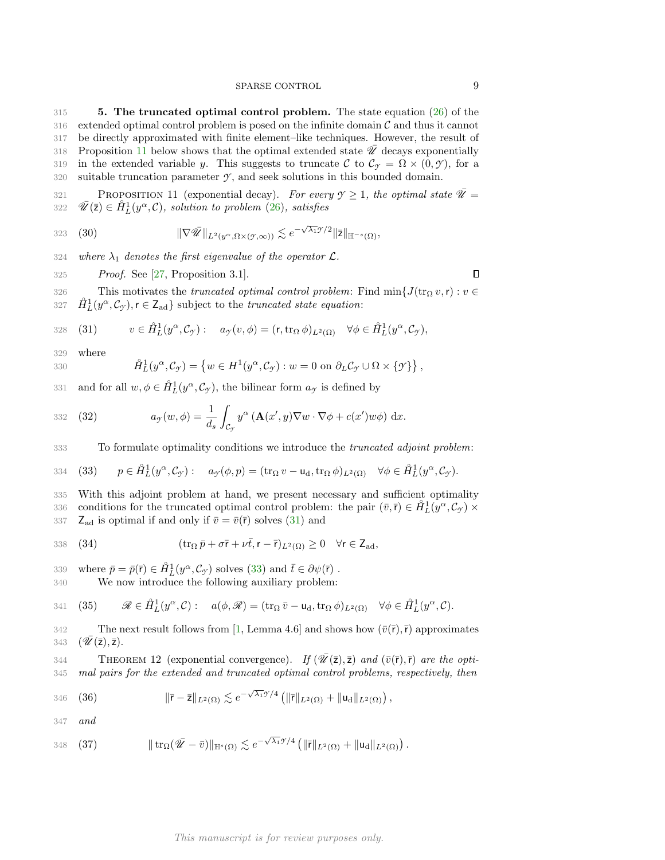# SPARSE CONTROL 9

<span id="page-8-0"></span>315 5. The truncated optimal control problem. The state equation [\(26\)](#page-7-1) of the  $316$  extended optimal control problem is posed on the infinite domain  $\mathcal C$  and thus it cannot 317 be directly approximated with finite element–like techniques. However, the result of 318 Proposition [11](#page-8-1) below shows that the optimal extended state  $\overline{\mathscr{U}}$  decays exponentially 319 in the extended variable y. This suggests to truncate C to  $\mathcal{C}_{\gamma} = \Omega \times (0, \gamma)$ , for a 320 suitable truncation parameter  $\gamma$ , and seek solutions in this bounded domain.

<span id="page-8-1"></span>PROPOSITION 11 (exponential decay). For every  $\mathcal{Y} \geq 1$ , the optimal state  $\overline{\mathcal{U}} =$ 322  $\overline{\mathscr{U}}(\overline{z}) \in \mathring{H}_L^1(y^\alpha, \mathcal{C})$ , solution to problem [\(26\)](#page-7-1), satisfies

323 (30) 
$$
\|\nabla \tilde{\mathscr{U}}\|_{L^2(y^{\alpha}, \Omega \times (\mathcal{Y}, \infty))} \lesssim e^{-\sqrt{\lambda_1}\mathcal{Y}/2} \|\bar{\mathsf{z}}\|_{\mathbb{H}^{-s}(\Omega)},
$$

324 where  $\lambda_1$  denotes the first eigenvalue of the operator  $\mathcal{L}$ .

325 Proof. See [\[27,](#page-17-7) Proposition 3.1].

326 This motivates the *truncated optimal control problem*: Find  $\min\{J(\text{tr}_{\Omega} v, r) : v \in$ 327  $\mathring{H}_L^1(y^\alpha, \mathcal{C}_\gamma), r \in \mathsf{Z}_{ad}$  subject to the *truncated state equation*:

<span id="page-8-2"></span>328 (31) 
$$
v \in \mathring{H}_L^1(y^\alpha, \mathcal{C}_\mathcal{Y}) : a_\mathcal{Y}(v, \phi) = (\mathbf{r}, \operatorname{tr}_\Omega \phi)_{L^2(\Omega)} \quad \forall \phi \in \mathring{H}_L^1(y^\alpha, \mathcal{C}_\mathcal{Y}),
$$

329 where

330 
$$
\mathring{H}_L^1(y^\alpha, \mathcal{C}_\mathcal{Y}) = \left\{ w \in H^1(y^\alpha, \mathcal{C}_\mathcal{Y}) : w = 0 \text{ on } \partial_L \mathcal{C}_\mathcal{Y} \cup \Omega \times \{\mathcal{Y}\} \right\},
$$

331 and for all  $w, \phi \in \mathring{H}_L^1(y^\alpha, \mathcal{C}_{\mathcal{I}})$ , the bilinear form  $a_{\mathcal{I}}$  is defined by

<span id="page-8-8"></span>332 (32) 
$$
a_{\gamma}(w,\phi) = \frac{1}{d_s} \int_{\mathcal{C}_{\gamma}} y^{\alpha} \left( \mathbf{A}(x',y) \nabla w \cdot \nabla \phi + c(x') w \phi \right) dx.
$$

333 To formulate optimality conditions we introduce the *truncated adjoint problem*:

<span id="page-8-3"></span>334 (33) 
$$
p \in \mathring{H}_L^1(y^\alpha, \mathcal{C}_\mathcal{I}) : a_\mathcal{I}(\phi, p) = (\text{tr}_\Omega v - \mathsf{u}_d, \text{tr}_\Omega \phi)_{L^2(\Omega)} \quad \forall \phi \in \mathring{H}_L^1(y^\alpha, \mathcal{C}_\mathcal{I}).
$$

335 With this adjoint problem at hand, we present necessary and sufficient optimality conditions for the truncated optimal control problem: the pair  $(\bar{v}, \bar{r}) \in \hat{H}_L^1(y^\alpha, \mathcal{C}_{\gamma}) \times$ 337  $Z_{ad}$  is optimal if and only if  $\bar{v} = \bar{v}(\bar{r})$  solves [\(31\)](#page-8-2) and

<span id="page-8-4"></span>338 (34) 
$$
(\operatorname{tr}_{\Omega} \bar{p} + \sigma \bar{r} + \nu \bar{t}, r - \bar{r})_{L^2(\Omega)} \geq 0 \quad \forall r \in \mathsf{Z}_{ad},
$$

339 where  $\bar{p} = \bar{p}(\bar{r}) \in \hat{H}_L^1(y^\alpha, C_\gamma)$  solves [\(33\)](#page-8-3) and  $\bar{t} \in \partial \psi(\bar{r})$ .

340 We now introduce the following auxiliary problem:

<span id="page-8-5"></span>341 (35) 
$$
\mathscr{R} \in \mathring{H}_L^1(y^\alpha, \mathcal{C}) : a(\phi, \mathscr{R}) = (\operatorname{tr}_\Omega \bar{v} - \mathsf{u}_d, \operatorname{tr}_\Omega \phi)_{L^2(\Omega)} \quad \forall \phi \in \mathring{H}_L^1(y^\alpha, \mathcal{C}).
$$

342 The next result follows from [\[1,](#page-16-8) Lemma 4.6] and shows how  $(\bar{v}(\bar{r}), \bar{r})$  approximates 343  $(\mathscr{U}(\bar{z}), \bar{z})$ .

<span id="page-8-9"></span>THEOREM 12 (exponential convergence). If  $(\mathscr{U}(\bar{z}), \bar{z})$  and  $(\bar{v}(\bar{r}), \bar{r})$  are the opti-345 mal pairs for the extended and truncated optimal control problems, respectively, then

<span id="page-8-6"></span>346 (36) 
$$
\|\bar{r} - \bar{z}\|_{L^2(\Omega)} \lesssim e^{-\sqrt{\lambda_1} \mathcal{Y}/4} \left( \|\bar{r}\|_{L^2(\Omega)} + \|u_d\|_{L^2(\Omega)} \right),
$$

347 and

<span id="page-8-7"></span>348 (37) 
$$
\|\operatorname{tr}_{\Omega}(\overline{\mathscr{U}}-\overline{v})\|_{\mathbb{H}^{s}(\Omega)} \lesssim e^{-\sqrt{\lambda_1}\mathscr{I}/4} \left(\|\overline{r}\|_{L^{2}(\Omega)}+\|\mathsf{u}_{\mathrm{d}}\|_{L^{2}(\Omega)}\right).
$$

 $\Box$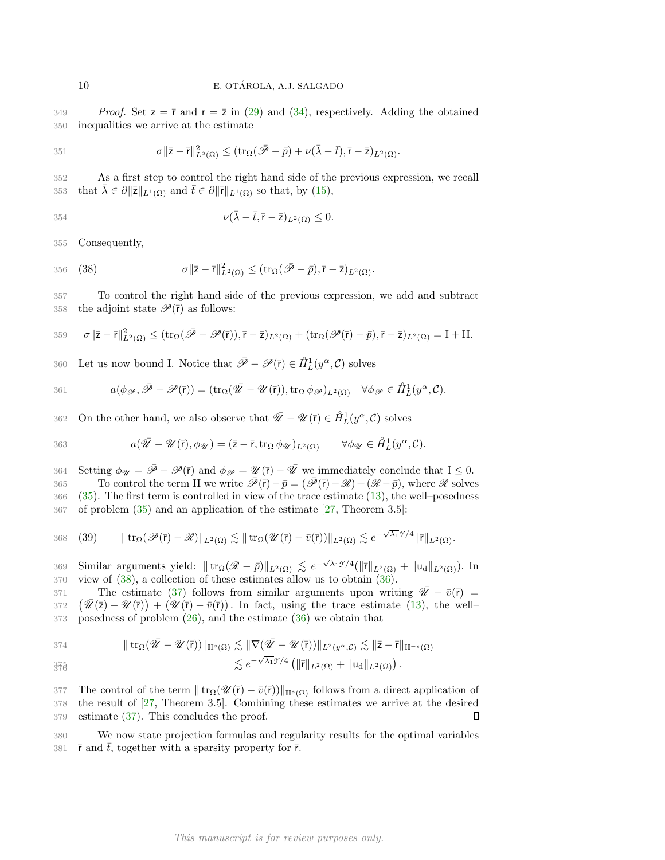349 Proof. Set  $z = \overline{r}$  and  $r = \overline{z}$  in [\(29\)](#page-7-3) and [\(34\)](#page-8-4), respectively. Adding the obtained 350 inequalities we arrive at the estimate

$$
351 \t\t \sigma ||\bar{z}-\bar{r}||_{L^{2}(\Omega)}^{2} \leq (\operatorname{tr}_{\Omega}(\bar{\mathscr{P}}-\bar{p})+\nu(\bar{\lambda}-\bar{t}), \bar{r}-\bar{z})_{L^{2}(\Omega)}.
$$

352 As a first step to control the right hand side of the previous expression, we recall 353 that  $\bar{\lambda} \in \partial ||\bar{z}||_{L^1(\Omega)}$  and  $\bar{t} \in \partial ||\bar{r}||_{L^1(\Omega)}$  so that, by [\(15\)](#page-4-1),

$$
\nu(\bar{\lambda} - \bar{t}, \bar{r} - \bar{z})_{L^2(\Omega)} \le 0.
$$

355 Consequently,

<span id="page-9-0"></span>356 (38) 
$$
\sigma \|\bar{z} - \bar{r}\|_{L^2(\Omega)}^2 \leq (\operatorname{tr}_{\Omega}(\bar{\mathscr{P}} - \bar{p}), \bar{r} - \bar{z})_{L^2(\Omega)}.
$$

357 To control the right hand side of the previous expression, we add and subtract 358 the adjoint state  $\mathscr{P}(\bar{r})$  as follows:

$$
359 \quad \sigma \|\bar{z}-\bar{r}\|_{L^2(\Omega)}^2 \leq (\operatorname{tr}_\Omega(\bar{\mathscr{P}}-\mathscr{P}(\bar{r})), \bar{r}-\bar{z})_{L^2(\Omega)} + (\operatorname{tr}_\Omega(\mathscr{P}(\bar{r})-\bar{p}), \bar{r}-\bar{z})_{L^2(\Omega)} = I + II.
$$

360 Let us now bound I. Notice that  $\bar{\mathscr{P}} - \mathscr{P}(\bar{r}) \in \mathring{H}_L^1(y^\alpha, \mathcal{C})$  solves

361 
$$
a(\phi_{\mathscr{P}},\bar{\mathscr{P}}-\mathscr{P}(\bar{r}))=(\mathrm{tr}_{\Omega}(\bar{\mathscr{U}}-\mathscr{U}(\bar{r})),\mathrm{tr}_{\Omega}\phi_{\mathscr{P}})_{L^{2}(\Omega)}\quad\forall\phi_{\mathscr{P}}\in\mathring{H}_{L}^{1}(y^{\alpha},\mathcal{C}).
$$

362 On the other hand, we also observe that  $\overline{\mathscr{U}} - \mathscr{U}(\overline{r}) \in \mathring{H}_L^1(y^\alpha, \mathcal{C})$  solves

363 
$$
a(\bar{\mathscr{U}}-\mathscr{U}(\bar{r}),\phi_{\mathscr{U}})=(\bar{z}-\bar{r},\mathrm{tr}_{\Omega}\,\phi_{\mathscr{U}})_{L^{2}(\Omega)} \qquad \forall \phi_{\mathscr{U}}\in \mathring{H}_{L}^{1}(y^{\alpha},\mathcal{C}).
$$

364 Setting  $\phi_{\mathcal{U}} = \bar{\mathcal{P}} - \mathcal{P}(\bar{r})$  and  $\phi_{\mathcal{P}} = \mathcal{U}(\bar{r}) - \bar{\mathcal{U}}$  we immediately conclude that  $I \leq 0$ . 365 To control the term II we write  $\bar{\mathscr{P}}(\bar{r})-\bar{p}=(\bar{\mathscr{P}}(\bar{r})-\mathscr{R})+(\mathscr{R}-\bar{p})$ , where  $\mathscr{R}$  solves 366 [\(35\)](#page-8-5). The first term is controlled in view of the trace estimate [\(13\)](#page-3-2), the well–posedness 367 of problem [\(35\)](#page-8-5) and an application of the estimate [\[27,](#page-17-7) Theorem 3.5]:

368 (39) 
$$
\|\operatorname{tr}_{\Omega}(\mathscr{P}(\bar{r})-\mathscr{R})\|_{L^{2}(\Omega)} \lesssim \|\operatorname{tr}_{\Omega}(\mathscr{U}(\bar{r})-\bar{v}(\bar{r}))\|_{L^{2}(\Omega)} \lesssim e^{-\sqrt{\lambda_{1}}\mathscr{I}/4} \|\bar{r}\|_{L^{2}(\Omega)}.
$$

369 Similar arguments yield:  $|| \text{tr}_{\Omega}(\mathscr{R} - \bar{p}) ||_{L^2(\Omega)} \lesssim e^{-\sqrt{\lambda_1}\mathscr{I}/4} (||\bar{r}||_{L^2(\Omega)} + ||\mathsf{u}_d||_{L^2(\Omega)})$ . In 370 view of [\(38\)](#page-9-0), a collection of these estimates allow us to obtain [\(36\)](#page-8-6).

The estimate [\(37\)](#page-8-7) follows from similar arguments upon writing  $\overline{\mathscr{U}} - \overline{v}(\overline{r}) =$ 372  $(\bar{\mathscr{U}}(\bar{z}) - \mathscr{U}(\bar{r})) + (\mathscr{U}(\bar{r}) - \bar{v}(\bar{r}))$ . In fact, using the trace estimate [\(13\)](#page-3-2), the well-373 posedness of problem [\(26\)](#page-7-1), and the estimate [\(36\)](#page-8-6) we obtain that

374 
$$
\|\operatorname{tr}_{\Omega}(\overline{\mathscr{U}}-\mathscr{U}(\overline{r}))\|_{\mathbb{H}^{s}(\Omega)} \lesssim \|\nabla(\overline{\mathscr{U}}-\mathscr{U}(\overline{r}))\|_{L^{2}(y^{\alpha},\mathcal{C})} \lesssim \|\overline{z}-\overline{r}\|_{\mathbb{H}^{-s}(\Omega)}
$$

$$
\lesssim e^{-\sqrt{\lambda_1} \mathcal{I}/4} \left( \|\bar{\mathbf{r}}\|_{L^2(\Omega)} + \|\mathbf{u}_d\|_{L^2(\Omega)} \right).
$$

377 The control of the term  $\|\text{tr}_{\Omega}(\mathcal{U}(\bar{r}) - \bar{v}(\bar{r}))\|_{\mathbb{H}^{s}(\Omega)}$  follows from a direct application of 378 the result of [\[27,](#page-17-7) Theorem 3.5]. Combining these estimates we arrive at the desired 379 estimate [\(37\)](#page-8-7). This concludes the proof.  $\Box$ 

380 We now state projection formulas and regularity results for the optimal variables 381  $\bar{r}$  and  $\bar{t}$ , together with a sparsity property for  $\bar{r}$ .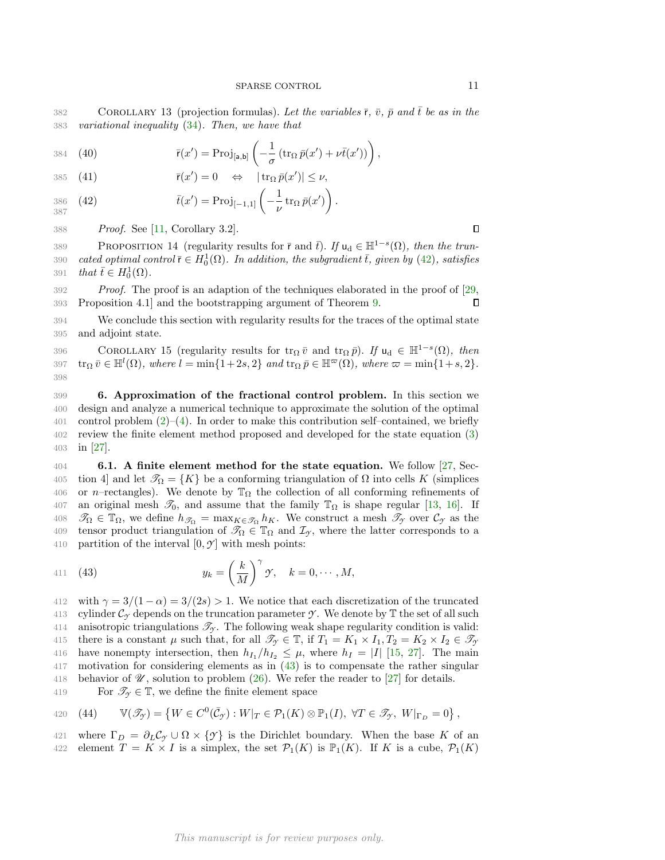382 COROLLARY 13 (projection formulas). Let the variables  $\bar{r}$ ,  $\bar{v}$ ,  $\bar{p}$  and  $\bar{t}$  be as in the 383 variational inequality [\(34\)](#page-8-4). Then, we have that

384 (40) 
$$
\bar{\mathsf{r}}(x') = \text{Proj}_{[a,b]} \left( -\frac{1}{\sigma} \left( \operatorname{tr}_{\Omega} \bar{p}(x') + \nu \bar{t}(x') \right) \right),
$$

385 (41)  $\bar{\mathsf{r}}(x') = 0 \Leftrightarrow |\operatorname{tr}_{\Omega} \bar{p}(x')| \leq \nu,$ 

<span id="page-10-1"></span>
$$
\bar{t}(x') = \text{Proj}_{[-1,1]} \left( -\frac{1}{\nu} \operatorname{tr}_{\Omega} \bar{p}(x') \right).
$$
  
387

388 Proof. See [\[11,](#page-16-0) Corollary 3.2].

<span id="page-10-6"></span>389 PROPOSITION 14 (regularity results for  $\bar{r}$  and  $\bar{t}$ ). If  $u_d \in \mathbb{H}^{1-s}(\Omega)$ , then the trun-390 cated optimal control  $\bar{\mathsf{r}} \in H^1_0(\Omega)$ . In addition, the subgradient  $\bar{t}$ , given by [\(42\)](#page-10-1), satisfies 391 that  $\bar{t} \in H_0^1(\Omega)$ .

392 Proof. The proof is an adaption of the techniques elaborated in the proof of [\[29,](#page-17-9) 393 Proposition 4.1] and the bootstrapping argument of Theorem [9.](#page-6-5) П

394 We conclude this section with regularity results for the traces of the optimal state 395 and adjoint state.

<span id="page-10-5"></span>396 COROLLARY 15 (regularity results for  $\text{tr}_{\Omega} \bar{v}$  and  $\text{tr}_{\Omega} \bar{p}$ ). If  $u_d \in \mathbb{H}^{1-s}(\Omega)$ , then 397  $\operatorname{tr}_{\Omega} \bar{v} \in \mathbb{H}^{l}(\Omega)$ , where  $l = \min\{1+2s, 2\}$  and  $\operatorname{tr}_{\Omega} \bar{p} \in \mathbb{H}^{\varpi}(\Omega)$ , where  $\varpi = \min\{1+s, 2\}$ . 398

<span id="page-10-0"></span>399 6. Approximation of the fractional control problem. In this section we 400 design and analyze a numerical technique to approximate the solution of the optimal 401 control problem  $(2)-(4)$  $(2)-(4)$ . In order to make this contribution self-contained, we briefly 402 review the finite element method proposed and developed for the state equation [\(3\)](#page-0-2) 403 in [\[27\]](#page-17-7).

<span id="page-10-3"></span>404 6.1. A finite element method for the state equation. We follow [\[27,](#page-17-7) Sec-405 tion 4] and let  $\mathscr{T}_{\Omega} = \{K\}$  be a conforming triangulation of  $\Omega$  into cells K (simplices 406 or n–rectangles). We denote by  $\mathbb{T}_{\Omega}$  the collection of all conforming refinements of 407 an original mesh  $\mathcal{I}_0$ , and assume that the family  $\mathbb{T}_\Omega$  is shape regular [\[13,](#page-17-20) [16\]](#page-17-21). If 408  $\mathcal{T}_{\Omega} \in \mathbb{T}_{\Omega}$ , we define  $h_{\mathcal{T}_{\Omega}} = \max_{K \in \mathcal{T}_{\Omega}} h_K$ . We construct a mesh  $\mathcal{T}_{\gamma}$  over  $\mathcal{C}_{\gamma}$  as the 409 tensor product triangulation of  $\mathcal{T}_{\Omega} \in \mathbb{T}_{\Omega}$  and  $\mathcal{I}_{\gamma}$ , where the latter corresponds to a 410 partition of the interval  $[0, \mathcal{Y}]$  with mesh points:

<span id="page-10-2"></span>411 (43) 
$$
y_k = \left(\frac{k}{M}\right)^{\gamma} \gamma, \quad k = 0, \cdots, M,
$$

412 with  $\gamma = 3/(1 - \alpha) = 3/(2s) > 1$ . We notice that each discretization of the truncated 413 cylinder  $\mathcal{C}_{\gamma}$  depends on the truncation parameter  $\gamma$ . We denote by  $\mathbb T$  the set of all such 414 anisotropic triangulations  $\mathcal{T}_{\gamma}$ . The following weak shape regularity condition is valid: 415 there is a constant  $\mu$  such that, for all  $\mathscr{T}_{\gamma} \in \mathbb{T}$ , if  $T_1 = K_1 \times I_1$ ,  $T_2 = K_2 \times I_2 \in \mathscr{T}_{\gamma}$ 416 have nonempty intersection, then  $h_{I_1}/h_{I_2} \leq \mu$ , where  $h_I = |I|$  [\[15,](#page-17-22) [27\]](#page-17-7). The main 417 motivation for considering elements as in [\(43\)](#page-10-2) is to compensate the rather singular 418 behavior of  $\mathcal{U}$ , solution to problem [\(26\)](#page-7-1). We refer the reader to [\[27\]](#page-17-7) for details.

419 For  $\mathscr{T}_{\gamma} \in \mathbb{T}$ , we define the finite element space

<span id="page-10-4"></span>420 (44) 
$$
\mathbb{V}(\mathscr{T}_{\mathcal{Y}}) = \left\{ W \in C^0(\bar{\mathcal{C}}_{\mathcal{Y}}) : W|_{T} \in \mathcal{P}_1(K) \otimes \mathbb{P}_1(I), \ \forall T \in \mathscr{T}_{\mathcal{Y}}, \ W|_{\Gamma_D} = 0 \right\},
$$

421 where  $\Gamma_D = \partial_L C_\gamma \cup \Omega \times \{\gamma\}$  is the Dirichlet boundary. When the base K of an 422 element  $T = K \times I$  is a simplex, the set  $\mathcal{P}_1(K)$  is  $\mathbb{P}_1(K)$ . If K is a cube,  $\mathcal{P}_1(K)$ 

 $\Box$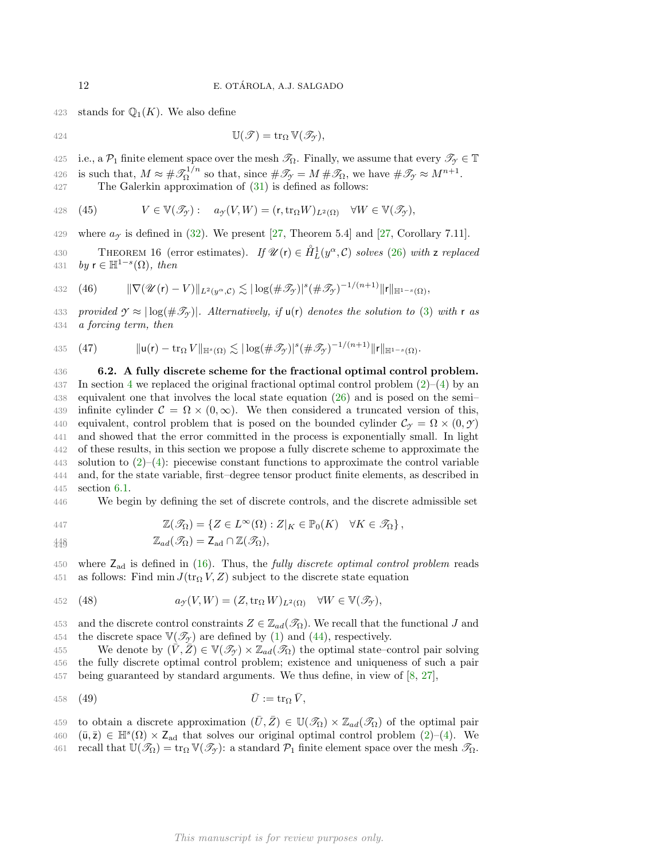423 stands for  $\mathbb{Q}_1(K)$ . We also define

$$
42
$$

$$
\mathbb{U}(\mathscr{T}) = \operatorname{tr}_{\Omega} \mathbb{V}(\mathscr{T}_{\mathscr{T}}),
$$

425 i.e., a  $\mathcal{P}_1$  finite element space over the mesh  $\mathcal{T}_\Omega$ . Finally, we assume that every  $\mathcal{T}_{\gamma} \in \mathbb{T}$ 

is such that,  $M \approx \# \mathscr{T}_{\Omega}^{1/n}$ 426 is such that,  $M \approx \# \mathcal{S}_{\Omega}^{1/n}$  so that, since  $\# \mathcal{S}_{\gamma} = M \# \mathcal{S}_{\Omega}$ , we have  $\# \mathcal{S}_{\gamma} \approx M^{n+1}$ .

427 The Galerkin approximation of [\(31\)](#page-8-2) is defined as follows:

428 (45) 
$$
V \in \mathbb{V}(\mathscr{T}_{\mathcal{Y}}): a_{\mathcal{Y}}(V,W) = (\mathsf{r}, \mathrm{tr}_{\Omega} W)_{L^2(\Omega)} \quad \forall W \in \mathbb{V}(\mathscr{T}_{\mathcal{Y}}),
$$

429 where  $a_y$  is defined in [\(32\)](#page-8-8). We present [\[27,](#page-17-7) Theorem 5.4] and [27, Corollary 7.11].

430 THEOREM 16 (error estimates). If  $\mathscr{U}(\mathsf{r}) \in \mathring{H}_L^1(y^\alpha, \mathcal{C})$  solves [\(26\)](#page-7-1) with z replaced 431 by  $\mathsf{r} \in \mathbb{H}^{1-s}(\Omega)$ , then

432 (46) 
$$
\|\nabla (\mathscr{U}(\mathbf{r})-V)\|_{L^2(y^{\alpha},\mathcal{C})} \lesssim |\log(\#\mathscr{T}_{\mathcal{Y}})|^s (\#\mathscr{T}_{\mathcal{Y}})^{-1/(n+1)} \|\mathbf{r}\|_{\mathbb{H}^{1-s}(\Omega)},
$$

433 provided  $\gamma \approx |\log(\#\mathcal{I}_\gamma)|$ . Alternatively, if  $\mathsf{u}(\mathsf{r})$  denotes the solution to [\(3\)](#page-0-2) with r as 434 a forcing term, then

<span id="page-11-1"></span>435 (47) 
$$
\| \mathsf{u}(\mathsf{r}) - \operatorname{tr}_{\Omega} V \|_{\mathbb{H}^s(\Omega)} \lesssim |\log(\#\mathscr{T}_{\mathcal{Y}})|^s (\#\mathscr{T}_{\mathcal{Y}})^{-1/(n+1)} \| \mathsf{r} \|_{\mathbb{H}^{1-s}(\Omega)}.
$$

 6.2. A fully discrete scheme for the fractional optimal control problem. 37 In section 4 we replaced the original fractional optimal control problem  $(2)-(4)$  $(2)-(4)$  by an equivalent one that involves the local state equation [\(26\)](#page-7-1) and is posed on the semi– 439 infinite cylinder  $\mathcal{C} = \Omega \times (0,\infty)$ . We then considered a truncated version of this, 440 equivalent, control problem that is posed on the bounded cylinder  $\mathcal{C}_{\gamma} = \Omega \times (0, \mathcal{Y})$  and showed that the error committed in the process is exponentially small. In light of these results, in this section we propose a fully discrete scheme to approximate the 443 solution to  $(2)-(4)$  $(2)-(4)$ : piecewise constant functions to approximate the control variable and, for the state variable, first–degree tensor product finite elements, as described in section [6.1.](#page-10-3)

446 We begin by defining the set of discrete controls, and the discrete admissible set

447 
$$
\mathbb{Z}(\mathcal{I}_{\Omega}) = \{ Z \in L^{\infty}(\Omega) : Z|_{K} \in \mathbb{P}_{0}(K) \quad \forall K \in \mathcal{I}_{\Omega} \},
$$

 $\mathbb{Z}_{ad}(\mathscr{T}_{\Omega}) = \mathsf{Z}_{ad} \cap \mathbb{Z}(\mathscr{T}_{\Omega}),$ 449

450 where  $Z_{ad}$  is defined in [\(16\)](#page-4-2). Thus, the *fully discrete optimal control problem* reads 451 as follows: Find min  $J(\text{tr}_{\Omega} V, Z)$  subject to the discrete state equation

<span id="page-11-0"></span>452 (48) 
$$
a_{\mathcal{I}}(V,W)=(Z,\operatorname{tr}_{\Omega}W)_{L^{2}(\Omega)} \quad \forall W \in \mathbb{V}(\mathscr{T}_{\mathcal{I}}),
$$

453 and the discrete control constraints  $Z \in \mathbb{Z}_{ad}(\mathcal{I}_{\Omega})$ . We recall that the functional J and 454 the discrete space  $V(\mathcal{T}_{\gamma})$  are defined by [\(1\)](#page-0-4) and [\(44\)](#page-10-4), respectively.

455 We denote by  $(\bar{V}, \bar{Z}) \in V(\mathcal{T}_{\gamma}) \times \mathbb{Z}_{ad}(\mathcal{T}_{\Omega})$  the optimal state–control pair solving 456 the fully discrete optimal control problem; existence and uniqueness of such a pair 457 being guaranteed by standard arguments. We thus define, in view of [\[8,](#page-16-4) [27\]](#page-17-7),

<span id="page-11-2"></span>
$$
\bar{U} := \operatorname{tr}_{\Omega} \bar{V},
$$

459 to obtain a discrete approximation  $(\bar{U}, \bar{Z}) \in \mathbb{U}(\mathscr{T}_{\Omega}) \times \mathbb{Z}_{ad}(\mathscr{T}_{\Omega})$  of the optimal pair  $(460 \quad (\bar{u}, \bar{z}) \in \mathbb{H}^s(\Omega) \times Z_{ad}$  that solves our original optimal control problem  $(2)-(4)$  $(2)-(4)$ . We 461 recall that  $\mathbb{U}(\mathcal{I}_{\Omega}) = \text{tr}_{\Omega} \mathbb{V}(\mathcal{I}_{\gamma})$ : a standard  $\mathcal{P}_1$  finite element space over the mesh  $\mathcal{I}_{\Omega}$ .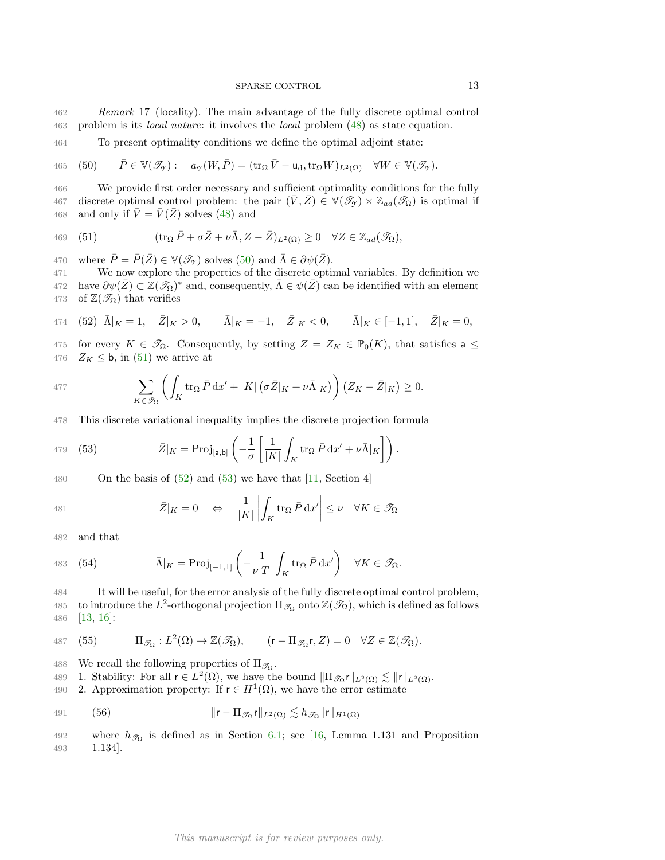- 462 Remark 17 (locality). The main advantage of the fully discrete optimal control 463 problem is its local nature: it involves the local problem [\(48\)](#page-11-0) as state equation.
- 464 To present optimality conditions we define the optimal adjoint state:

<span id="page-12-0"></span>(50)  $\bar{P} \in \mathbb{V}(\mathscr{T}_{\gamma}) : a_{\gamma}(W, \bar{P}) = (\text{tr}_{\Omega} \bar{V} - \textbf{u}_{d}, \text{tr}_{\Omega} W)_{L^{2}(\Omega)} \quad \forall W \in \mathbb{V}(\mathscr{T}_{\gamma}).$ 

466 We provide first order necessary and sufficient optimality conditions for the fully 467 discrete optimal control problem: the pair  $(\bar{V}, \bar{Z}) \in V(\mathcal{I}_{\mathcal{F}}) \times \mathbb{Z}_{ad}(\mathcal{I}_{\Omega})$  is optimal if 468 and only if  $\overline{V} = \overline{V}(\overline{Z})$  solves [\(48\)](#page-11-0) and

<span id="page-12-1"></span>469 (51) 
$$
(\operatorname{tr}_{\Omega} \bar{P} + \sigma \bar{Z} + \nu \bar{\Lambda}, Z - \bar{Z})_{L^2(\Omega)} \geq 0 \quad \forall Z \in \mathbb{Z}_{ad}(\mathscr{T}_{\Omega}),
$$

470 where  $\overline{P} = \overline{P}(\overline{Z}) \in \mathbb{V}(\mathscr{T}_{\gamma})$  solves [\(50\)](#page-12-0) and  $\overline{\Lambda} \in \partial \psi(\overline{Z})$ .

471 We now explore the properties of the discrete optimal variables. By definition we 472 have  $\partial \psi(\bar{Z}) \subset \mathbb{Z}(\mathscr{T}_{\Omega})^*$  and, consequently,  $\bar{\Lambda} \in \psi(\bar{Z})$  can be identified with an element 473 of  $\mathbb{Z}(\mathscr{T}_{\Omega})$  that verifies

<span id="page-12-2"></span>474 (52) 
$$
\bar{\Lambda}|_K = 1
$$
,  $\bar{Z}|_K > 0$ ,  $\bar{\Lambda}|_K = -1$ ,  $\bar{Z}|_K < 0$ ,  $\bar{\Lambda}|_K \in [-1, 1]$ ,  $\bar{Z}|_K = 0$ ,

475 for every  $K \in \mathcal{T}_{\Omega}$ . Consequently, by setting  $Z = Z_K \in \mathbb{P}_0(K)$ , that satisfies a  $\leq$ 476  $Z_K \leq \mathbf{b}$ , in [\(51\)](#page-12-1) we arrive at

$$
477 \qquad \qquad \sum_{K\in\mathscr{T}_{\Omega}}\left(\int_{K}\operatorname{tr}_{\Omega}\bar{P}\,dx'+|K|\left(\sigma\bar{Z}|_{K}+\nu\bar{\Lambda}|_{K}\right)\right)(Z_{K}-\bar{Z}|_{K})\geq 0.
$$

478 This discrete variational inequality implies the discrete projection formula

<span id="page-12-3"></span>479 (53) 
$$
\bar{Z}|_K = \text{Proj}_{[a,b]} \left( -\frac{1}{\sigma} \left[ \frac{1}{|K|} \int_K \text{tr}_{\Omega} \bar{P} \, \mathrm{d}x' + \nu \bar{\Lambda}|_K \right] \right).
$$

480 On the basis of  $(52)$  and  $(53)$  we have that  $[11, Section 4]$ 

481 
$$
\bar{Z}|_K = 0 \Leftrightarrow \frac{1}{|K|} \left| \int_K \text{tr}_{\Omega} \bar{P} \, \text{d} x' \right| \leq \nu \quad \forall K \in \mathcal{T}_{\Omega}
$$

482 and that

483 (54) 
$$
\bar{\Lambda}|_K = \text{Proj}_{[-1,1]} \left( -\frac{1}{\nu|T|} \int_K \text{tr}_{\Omega} \bar{P} \, \text{d} x' \right) \quad \forall K \in \mathcal{F}_{\Omega}.
$$

484 It will be useful, for the error analysis of the fully discrete optimal control problem,

485 to introduce the  $L^2$ -orthogonal projection  $\Pi_{\mathscr{T}_{\Omega}}$  onto  $\mathbb{Z}(\mathscr{T}_{\Omega})$ , which is defined as follows 486 [\[13,](#page-17-20) [16\]](#page-17-21):

<span id="page-12-4"></span>487 (55) 
$$
\Pi_{\mathscr{T}_{\Omega}}: L^{2}(\Omega) \to \mathbb{Z}(\mathscr{T}_{\Omega}), \qquad (r - \Pi_{\mathscr{T}_{\Omega}}r, Z) = 0 \quad \forall Z \in \mathbb{Z}(\mathscr{T}_{\Omega}).
$$

488 We recall the following properties of  $\Pi_{\mathscr{T}_{\Omega}}$ .

489 1. Stability: For all  $r \in L^2(\Omega)$ , we have the bound  $\|\Pi_{\mathscr{T}_{\Omega}} r\|_{L^2(\Omega)} \lesssim \|r\|_{L^2(\Omega)}$ .

<span id="page-12-5"></span>490 2. Approximation property: If  $r \in H^1(\Omega)$ , we have the error estimate

491 
$$
||\mathbf{r} - \Pi_{\mathscr{T}_{\Omega}} \mathbf{r}||_{L^2(\Omega)} \lesssim h_{\mathscr{T}_{\Omega}} ||\mathbf{r}||_{H^1(\Omega)}
$$

492 where  $h_{\mathscr{T}_{\Omega}}$  is defined as in Section [6.1;](#page-10-3) see [\[16,](#page-17-21) Lemma 1.131 and Proposition 493 1.134].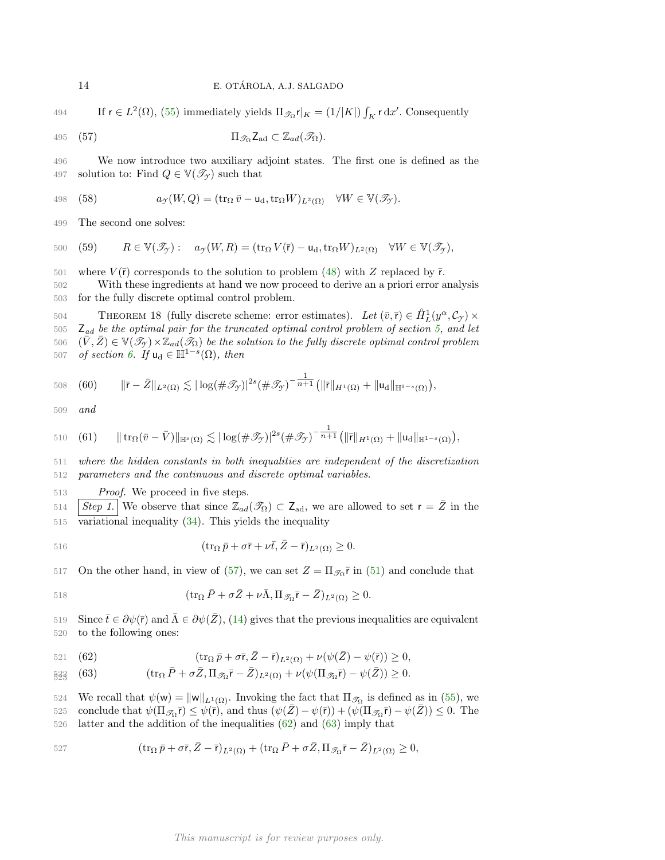494 If  $r \in L^2(\Omega)$ , [\(55\)](#page-12-4) immediately yields  $\Pi_{\mathscr{T}_{\Omega}} r|_K = (1/|K|) \int_K r \, dx'$ . Consequently

495 (57) 
$$
\Pi_{\mathscr{T}_{\Omega}} Z_{ad} \subset \mathbb{Z}_{ad}(\mathscr{T}_{\Omega}).
$$

496 We now introduce two auxiliary adjoint states. The first one is defined as the 497 solution to: Find  $Q \in \mathbb{V}(\mathcal{T}_{\gamma})$  such that

<span id="page-13-3"></span>498 (58) 
$$
a_{\mathcal{Y}}(W,Q)=(\operatorname{tr}_{\Omega}\bar{v}-\mathsf{u}_{\mathrm{d}},\operatorname{tr}_{\Omega}W)_{L^{2}(\Omega)}\quad \forall W\in\mathbb{V}(\mathscr{T}_{\mathcal{Y}}).
$$

499 The second one solves:

<span id="page-13-4"></span>500 (59) 
$$
R \in \mathbb{V}(\mathscr{T}_{\mathcal{T}}): a_{\mathcal{T}}(W,R) = (\text{tr}_{\Omega} V(\bar{r}) - \mathbf{u}_{d}, \text{tr}_{\Omega} W)_{L^{2}(\Omega)} \quad \forall W \in \mathbb{V}(\mathscr{T}_{\mathcal{T}}),
$$

501 where  $V(\bar{r})$  corresponds to the solution to problem [\(48\)](#page-11-0) with Z replaced by  $\bar{r}$ .

502 With these ingredients at hand we now proceed to derive an a priori error analysis 503 for the fully discrete optimal control problem.

<span id="page-13-7"></span>THEOREM 18 (fully discrete scheme: error estimates). Let  $(\bar{v}, \bar{r}) \in \mathring{H}_L^1(y^\alpha, \mathcal{C}_{\mathcal{I}}) \times$  $505\quad \mathsf{Z}_{ad}$  be the optimal pair for the truncated optimal control problem of section [5,](#page-8-0) and let 506  $(\bar{V}, \bar{Z}) \in V(\mathscr{T}_{\gamma}) \times \mathbb{Z}_{ad}(\mathscr{T}_{\Omega})$  be the solution to the fully discrete optimal control problem 507 of section [6.](#page-10-0) If  $u_d \in \mathbb{H}^{1-s}(\Omega)$ , then

<span id="page-13-5"></span>508 (60) 
$$
\|\bar{r}-\bar{Z}\|_{L^{2}(\Omega)} \lesssim |\log(\#\mathscr{T}_{\mathcal{Y}})|^{2s}(\#\mathscr{T}_{\mathcal{Y}})^{-\frac{1}{n+1}}\big(\|\bar{r}\|_{H^{1}(\Omega)}+\|u_{d}\|_{\mathbb{H}^{1-s}(\Omega)}\big),
$$

509 and

<span id="page-13-6"></span>510 (61) 
$$
\| \operatorname{tr}_{\Omega}(\bar{v}-\bar{V})\|_{\mathbb{H}^{s}(\Omega)} \lesssim |\log(\#\mathscr{T}_{\mathscr{T}})|^{2s}(\#\mathscr{T}_{\mathscr{T}})^{-\frac{1}{n+1}}\big(\|\bar{r}\|_{H^{1}(\Omega)}+\|u_{d}\|_{\mathbb{H}^{1-s}(\Omega)}\big),
$$

511 where the hidden constants in both inequalities are independent of the discretization 512 parameters and the continuous and discrete optimal variables.

513 *Proof.* We proceed in five steps.

514 Step 1. We observe that since  $\mathbb{Z}_{ad}(\mathscr{T}_{\Omega}) \subset Z_{ad}$ , we are allowed to set  $r = \overline{Z}$  in the 515 variational inequality [\(34\)](#page-8-4). This yields the inequality

516 
$$
(\operatorname{tr}_{\Omega} \bar{p} + \sigma \bar{r} + \nu \bar{t}, \bar{Z} - \bar{r})_{L^2(\Omega)} \geq 0.
$$

517 On the other hand, in view of [\(57\)](#page-13-0), we can set  $Z = \Pi_{\mathcal{S}_{\Omega}} \bar{r}$  in [\(51\)](#page-12-1) and conclude that

518 
$$
(\operatorname{tr}_{\Omega} \bar{P} + \sigma \bar{Z} + \nu \bar{\Lambda}, \Pi_{\mathscr{T}_{\Omega}} \bar{r} - \bar{Z})_{L^2(\Omega)} \geq 0.
$$

Since  $\bar{t} ∈ ∂ψ(\bar{r})$  and  $\bar{\Lambda} ∈ ∂ψ(Z)$ , [\(14\)](#page-4-3) gives that the previous inequalities are equivalent 520 to the following ones:

<span id="page-13-2"></span><span id="page-13-1"></span>
$$
\text{(62)} \qquad \qquad (\text{tr}_{\Omega} \,\bar{p} + \sigma \bar{r}, \bar{Z} - \bar{r})_{L^2(\Omega)} + \nu(\psi(\bar{Z}) - \psi(\bar{r})) \geq 0,
$$

$$
\mathbf{1}_{23}^2 \quad \text{(63)} \qquad \qquad (\text{tr}_\Omega \, \bar{P} + \sigma \bar{Z}, \Pi_{\mathscr{T}_\Omega} \bar{r} - \bar{Z})_{L^2(\Omega)} + \nu (\psi (\Pi_{\mathscr{T}_\Omega} \bar{r}) - \psi (\bar{Z})) \geq 0.
$$

524 We recall that  $\psi(\mathsf{w}) = ||\mathsf{w}||_{L^1(\Omega)}$ . Invoking the fact that  $\Pi_{\mathscr{T}_{\Omega}}$  is defined as in [\(55\)](#page-12-4), we 525 conclude that  $\psi(\Pi_{\mathscr{T}_{\Omega}}\vec{r}) \leq \psi(\vec{r})$ , and thus  $(\psi(\bar{Z}) - \psi(\vec{r})) + (\psi(\Pi_{\mathscr{T}_{\Omega}}\vec{r}) - \psi(\bar{Z})) \leq 0$ . The

526 latter and the addition of the inequalities [\(62\)](#page-13-1) and [\(63\)](#page-13-2) imply that

527 
$$
(\operatorname{tr}_{\Omega} \bar{p} + \sigma \bar{r}, \bar{Z} - \bar{r})_{L^2(\Omega)} + (\operatorname{tr}_{\Omega} \bar{P} + \sigma \bar{Z}, \Pi_{\mathscr{T}_{\Omega}} \bar{r} - \bar{Z})_{L^2(\Omega)} \geq 0,
$$

<span id="page-13-0"></span>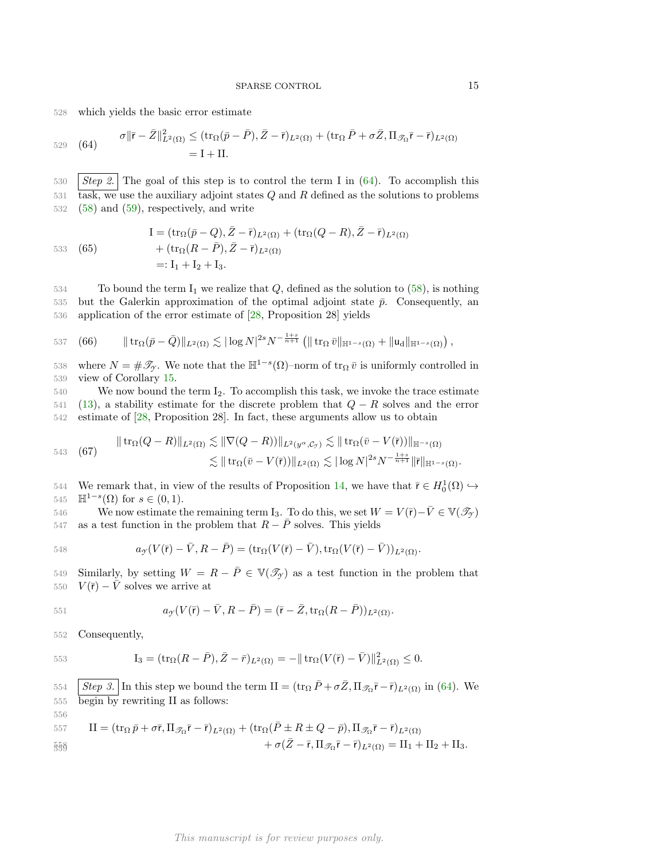528 which yields the basic error estimate

<span id="page-14-0"></span>
$$
\begin{aligned} \sigma \|\bar{\mathbf{r}} - \bar{Z}\|_{L^2(\Omega)}^2 &\leq (\text{tr}_{\Omega}(\bar{p} - \bar{P}), \bar{Z} - \bar{\mathbf{r}})_{L^2(\Omega)} + (\text{tr}_{\Omega} \bar{P} + \sigma \bar{Z}, \Pi_{\mathscr{T}_{\Omega}} \bar{\mathbf{r}} - \bar{\mathbf{r}})_{L^2(\Omega)} \\ &= \mathbf{I} + \mathbf{II}. \end{aligned}
$$

530 Step 2. The goal of this step is to control the term I in  $(64)$ . To accomplish this  $t$ <sub>531</sub> task, we use the auxiliary adjoint states  $Q$  and  $R$  defined as the solutions to problems 532 [\(58\)](#page-13-3) and [\(59\)](#page-13-4), respectively, and write

$$
533 \quad (65)
$$

$$
I = (\operatorname{tr}_{\Omega}(\bar{p} - Q), \bar{Z} - \bar{r})_{L^2(\Omega)} + (\operatorname{tr}_{\Omega}(Q - R), \bar{Z} - \bar{r})_{L^2(\Omega)}
$$
  
+ 
$$
(\operatorname{tr}_{\Omega}(R - \bar{P}), \bar{Z} - \bar{r})_{L^2(\Omega)}
$$
  
=: I<sub>1</sub> + I<sub>2</sub> + I<sub>3</sub>.

 $534$  To bound the term I<sub>1</sub> we realize that Q, defined as the solution to  $(58)$ , is nothing 535 but the Galerkin approximation of the optimal adjoint state  $\bar{p}$ . Consequently, an 536 application of the error estimate of [\[28,](#page-17-23) Proposition 28] yields

<span id="page-14-2"></span>537 (66) 
$$
\| \operatorname{tr}_{\Omega}(\bar{p}-\bar{Q}) \|_{L^2(\Omega)} \lesssim |\log N|^{2s} N^{-\frac{1+s}{n+1}} \left( \| \operatorname{tr}_{\Omega} \bar{v} \|_{\mathbb{H}^{1-s}(\Omega)} + \| u_d \|_{\mathbb{H}^{1-s}(\Omega)} \right),
$$

538 where  $N = \# \mathscr{T}_{\mathscr{T}}$ . We note that the  $\mathbb{H}^{1-s}(\Omega)$ –norm of tr<sub> $\Omega$ </sub>  $\bar{v}$  is uniformly controlled in 539 view of Corollary [15.](#page-10-5)

 $540$  We now bound the term  $I_2$ . To accomplish this task, we invoke the trace estimate 541 [\(13\)](#page-3-2), a stability estimate for the discrete problem that  $Q - R$  solves and the error 542 estimate of [\[28,](#page-17-23) Proposition 28]. In fact, these arguments allow us to obtain

<span id="page-14-1"></span>543 (67) 
$$
\|\operatorname{tr}_{\Omega}(Q-R)\|_{L^{2}(\Omega)} \lesssim \|\nabla(Q-R)\|_{L^{2}(y^{\alpha},\mathcal{C}_{\mathcal{Y}})} \lesssim \|\operatorname{tr}_{\Omega}(\bar{v}-V(\bar{r}))\|_{\mathbb{H}^{-s}(\Omega)}
$$

$$
\lesssim \|\operatorname{tr}_{\Omega}(\bar{v}-V(\bar{r}))\|_{L^{2}(\Omega)} \lesssim |\log N|^{2s} N^{-\frac{1+s}{n+1}} \|\bar{r}\|_{\mathbb{H}^{1-s}(\Omega)}.
$$

544 We remark that, in view of the results of Proposition [14,](#page-10-6) we have that  $\bar{r} \in H_0^1(\Omega) \hookrightarrow$ 545  $\mathbb{H}^{1-s}(\Omega)$  for  $s \in (0,1)$ .

546 We now estimate the remaining term I<sub>3</sub>. To do this, we set  $W = V(\bar{r}) - \bar{V} \in V(\mathscr{T}_{\gamma})$ 547 as a test function in the problem that  $R - \bar{P}$  solves. This yields

548 
$$
a_{\mathcal{Y}}(V(\bar{r}) - \bar{V}, R - \bar{P}) = (\text{tr}_{\Omega}(V(\bar{r}) - \bar{V}), \text{tr}_{\Omega}(V(\bar{r}) - \bar{V}))_{L^{2}(\Omega)}.
$$

549 Similarly, by setting  $W = R - \overline{P} \in V(\mathscr{T}_{\gamma})$  as a test function in the problem that 550  $V(\bar{r}) - \bar{V}$  solves we arrive at

551 
$$
a_{\mathcal{Y}}(V(\bar{r}) - \bar{V}, R - \bar{P}) = (\bar{r} - \bar{Z}, \text{tr}_{\Omega}(R - \bar{P}))_{L^{2}(\Omega)}.
$$

552 Consequently,

553 
$$
I_3 = (\text{tr}_{\Omega}(R - \bar{P}), \bar{Z} - \bar{r})_{L^2(\Omega)} = -\|\text{tr}_{\Omega}(V(\bar{r}) - \bar{V})\|_{L^2(\Omega)}^2 \leq 0.
$$

554  $\int Step 3.$  In this step we bound the term II =  $(\text{tr}_{\Omega} \bar{P} + \sigma \bar{Z}, \Pi_{\mathscr{T}_{\Omega}} \bar{r} - \bar{r})_{L^2(\Omega)}$  in [\(64\)](#page-14-0). We 555 begin by rewriting II as follows: 556

557 
$$
\Pi = (\operatorname{tr}_{\Omega} \bar{p} + \sigma \bar{r}, \Pi_{\mathscr{T}_{\Omega}} \bar{r} - \bar{r})_{L^2(\Omega)} + (\operatorname{tr}_{\Omega} (\bar{P} \pm R \pm Q - \bar{p}), \Pi_{\mathscr{T}_{\Omega}} \bar{r} - \bar{r})_{L^2(\Omega)} + \sigma (\bar{Z} - \bar{r}, \Pi_{\mathscr{T}_{\Omega}} \bar{r} - \bar{r})_{L^2(\Omega)} = \Pi_1 + \Pi_2 + \Pi_3.
$$

# This manuscript is for review purposes only.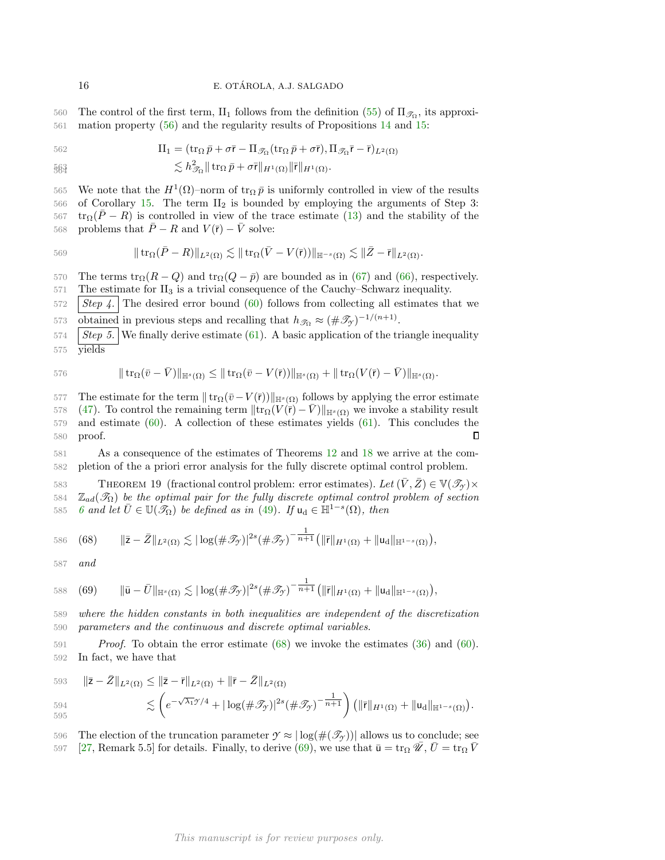560 The control of the first term,  $\text{II}_1$  follows from the definition  $(55)$  of  $\Pi_{\mathscr{T}_{\Omega}}$ , its approxi-561 mation property [\(56\)](#page-12-5) and the regularity results of Propositions [14](#page-10-6) and [15:](#page-10-5)

562 
$$
\Pi_1 = (\operatorname{tr}_{\Omega} \bar{p} + \sigma \bar{r} - \Pi_{\mathscr{T}_{\Omega}} (\operatorname{tr}_{\Omega} \bar{p} + \sigma \bar{r}), \Pi_{\mathscr{T}_{\Omega}} \bar{r} - \bar{r})_{L^2(\Omega)}
$$

$$
\lesssim h_{\mathscr{T}_{\Omega}}^2 \|\operatorname{tr}_{\Omega} \bar{p} + \sigma \bar{\mathsf{r}} \|_{H^1(\Omega)} \|\bar{\mathsf{r}} \|_{H^1(\Omega)}.
$$

565 We note that the  $H^1(Ω)$ –norm of tr<sub>Ω</sub>  $\bar{p}$  is uniformly controlled in view of the results 566 of Corollary [15.](#page-10-5) The term  $II_2$  is bounded by employing the arguments of Step 3:  $t_{\text{FQ}}(\bar{P}-R)$  is controlled in view of the trace estimate [\(13\)](#page-3-2) and the stability of the 568 problems that  $\overline{P} - R$  and  $V(\overline{r}) - \overline{V}$  solve:

569 
$$
\|\operatorname{tr}_{\Omega}(\bar{P}-R)\|_{L^2(\Omega)} \lesssim \|\operatorname{tr}_{\Omega}(\bar{V}-V(\bar{r}))\|_{\mathbb{H}^{-s}(\Omega)} \lesssim \|\bar{Z}-\bar{r}\|_{L^2(\Omega)}.
$$

570 The terms  $\text{tr}_{\Omega}(R-Q)$  and  $\text{tr}_{\Omega}(Q-\bar{p})$  are bounded as in [\(67\)](#page-14-1) and [\(66\)](#page-14-2), respectively.  $571$  The estimate for  $II_3$  is a trivial consequence of the Cauchy–Schwarz inequality.

 $572$  Step 4. The desired error bound [\(60\)](#page-13-5) follows from collecting all estimates that we

573 obtained in previous steps and recalling that  $h_{\mathscr{T}_{\Omega}} \approx (\#\mathscr{T}_{\mathscr{T}})^{-1/(n+1)}$ .

 $574$  Step 5. We finally derive estimate [\(61\)](#page-13-6). A basic application of the triangle inequality 575 yields

576 
$$
\| \operatorname{tr}_{\Omega}(\bar{v}-\bar{V})\|_{\mathbb{H}^{s}(\Omega)} \leq \| \operatorname{tr}_{\Omega}(\bar{v}-V(\bar{r}))\|_{\mathbb{H}^{s}(\Omega)} + \| \operatorname{tr}_{\Omega}(V(\bar{r})-\bar{V})\|_{\mathbb{H}^{s}(\Omega)}.
$$

577 The estimate for the term  $|| tr_Ω(ō-V(τ))||_{\mathbb{H}^{s}(\Omega)}$  follows by applying the error estimate 578 [\(47\)](#page-11-1). To control the remaining term  $\|\text{tr}_{\Omega}(V(\bar{r}) - V)\|_{\mathbb{H}^s(\Omega)}$  we invoke a stability result 579 and estimate [\(60\)](#page-13-5). A collection of these estimates yields [\(61\)](#page-13-6). This concludes the 580 proof.  $\Box$ 

581 As a consequence of the estimates of Theorems [12](#page-8-9) and [18](#page-13-7) we arrive at the com-582 pletion of the a priori error analysis for the fully discrete optimal control problem.

THEOREM 19 (fractional control problem: error estimates). Let  $(\bar{V}, \bar{Z}) \in \mathbb{V}(\mathcal{I}_{\gamma}) \times$ 584  $\mathbb{Z}_{ad}(\mathcal{T}_{\Omega})$  be the optimal pair for the fully discrete optimal control problem of section 585 [6](#page-10-0) and let  $\bar{U} \in \mathbb{U}(\mathscr{T}_{\Omega})$  be defined as in [\(49\)](#page-11-2). If  $u_d \in \mathbb{H}^{1-s}(\Omega)$ , then

<span id="page-15-0"></span>586 (68) 
$$
\|\bar{z}-\bar{Z}\|_{L^{2}(\Omega)} \lesssim |\log(\#\mathscr{T}_{\mathscr{T}})|^{2s}(\#\mathscr{T}_{\mathscr{T}})^{-\frac{1}{n+1}}(\|\bar{r}\|_{H^{1}(\Omega)}+\|u_{d}\|_{\mathbb{H}^{1-s}(\Omega)}),
$$

587 and

<span id="page-15-1"></span>588 (69) 
$$
\|\bar{\mathbf{u}} - \bar{U}\|_{\mathbb{H}^{s}(\Omega)} \lesssim |\log(\#\mathscr{T}_{\mathcal{J}})|^{2s} (\#\mathscr{T}_{\mathcal{J}})^{-\frac{1}{n+1}} (\|\bar{\mathbf{r}}\|_{H^{1}(\Omega)} + \|\mathbf{u}_{d}\|_{\mathbb{H}^{1-s}(\Omega)}),
$$

589 where the hidden constants in both inequalities are independent of the discretization 590 parameters and the continuous and discrete optimal variables.

591 Proof. To obtain the error estimate [\(68\)](#page-15-0) we invoke the estimates [\(36\)](#page-8-6) and [\(60\)](#page-13-5). 592 In fact, we have that

593 
$$
\|\overline{\mathbf{z}} - \overline{\mathbf{Z}}\|_{L^2(\Omega)} \le \|\overline{\mathbf{z}} - \overline{\mathbf{r}}\|_{L^2(\Omega)} + \|\overline{\mathbf{r}} - \overline{\mathbf{Z}}\|_{L^2(\Omega)}
$$
  
594 
$$
\lesssim \left(e^{-\sqrt{\lambda_1}\mathcal{T}/4} + |\log(\#\mathcal{T}_{\mathcal{T}})|^{2s} (\#\mathcal{T}_{\mathcal{T}})^{-\frac{1}{n+1}}\right) \left(\|\overline{\mathbf{r}}\|_{H^1(\Omega)} + \|\mathbf{u}_d\|_{\mathbb{H}^{1-s}(\Omega)}\right).
$$

596 The election of the truncation parameter  $\mathcal{T} \approx |\log(\mathcal{H}(\mathcal{T}_Y))|$  allows us to conclude; see 597 [\[27,](#page-17-7) Remark 5.5] for details. Finally, to derive [\(69\)](#page-15-1), we use that  $\bar{u} = \text{tr}_{\Omega} \overline{\mathscr{U}}$ ,  $\bar{U} = \text{tr}_{\Omega} \overline{V}$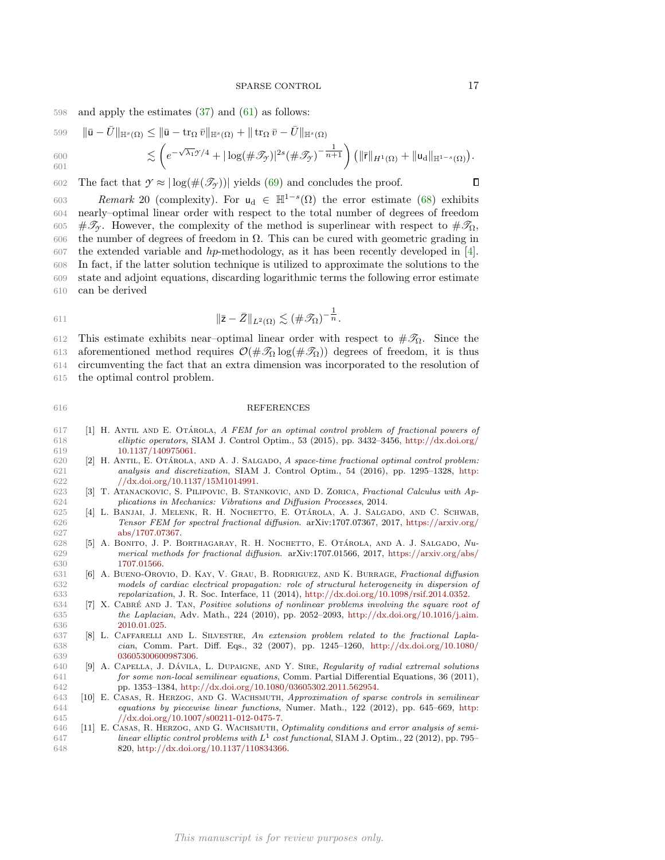### SPARSE CONTROL 17

598 and apply the estimates [\(37\)](#page-8-7) and [\(61\)](#page-13-6) as follows:

599 
$$
\|\bar{\mathbf{u}} - \bar{U}\|_{\mathbb{H}^s(\Omega)} \le \|\bar{\mathbf{u}} - \operatorname{tr}_{\Omega} \bar{v}\|_{\mathbb{H}^s(\Omega)} + \|\operatorname{tr}_{\Omega} \bar{v} - \bar{U}\|_{\mathbb{H}^s(\Omega)}
$$
  
\n600 
$$
\lesssim \left(e^{-\sqrt{\lambda_1}\mathcal{T}/4} + |\log(\#\mathcal{T}_{\mathcal{T}})|^{2s} (\#\mathcal{T}_{\mathcal{T}})^{-\frac{1}{n+1}}\right) \left(\|\bar{r}\|_{H^1(\Omega)} + \|\mathbf{u}_d\|_{\mathbb{H}^{1-s}(\Omega)}\right).
$$

602 The fact that  $\gamma \approx |\log(\#(\mathcal{T}_\gamma))|$  yields [\(69\)](#page-15-1) and concludes the proof.

603 Remark 20 (complexity). For  $u_d \in H^{1-s}(\Omega)$  the error estimate [\(68\)](#page-15-0) exhibits nearly–optimal linear order with respect to the total number of degrees of freedom 605 # $\mathcal{F}_{\gamma}$ . However, the complexity of the method is superlinear with respect to  $\#\mathcal{F}_{\Omega}$ , the number of degrees of freedom in Ω. This can be cured with geometric grading in 607 the extended variable and hp-methodology, as it has been recently developed in [\[4\]](#page-16-10). In fact, if the latter solution technique is utilized to approximate the solutions to the state and adjoint equations, discarding logarithmic terms the following error estimate can be derived

$$
\|\bar{\mathbf{z}} - \bar{Z}\|_{L^2(\Omega)} \lesssim (\#\mathcal{F}_\Omega)^{-\frac{1}{n}}.
$$

612 This estimate exhibits near-optimal linear order with respect to  $\#\mathcal{F}_\Omega$ . Since the 613 aforementioned method requires  $\mathcal{O}(\#\mathcal{I}_\Omega \log(\#\mathcal{I}_\Omega))$  degrees of freedom, it is thus 614 circumventing the fact that an extra dimension was incorporated to the resolution of 615 the optimal control problem.

## 616 REFERENCES

- <span id="page-16-8"></span>617 [1] H. ANTIL AND E. OTÁROLA, A FEM for an optimal control problem of fractional powers of 618 elliptic operators, SIAM J. Control Optim., 53 (2015), pp. 3432–3456, [http://dx.doi.org/](http://dx.doi.org/10.1137/140975061) 619 [10.1137/140975061.](http://dx.doi.org/10.1137/140975061)
- <span id="page-16-9"></span>620 [2] H. ANTIL, E. OTÁROLA, AND A. J. SALGADO, A space-time fractional optimal control problem: 621 analysis and discretization, SIAM J. Control Optim., 54 (2016), pp. 1295–1328, [http:](http://dx.doi.org/10.1137/15M1014991) 622 [//dx.doi.org/10.1137/15M1014991.](http://dx.doi.org/10.1137/15M1014991)
- <span id="page-16-1"></span>623 [3] T. Atanackovic, S. Pilipovic, B. Stankovic, and D. Zorica, Fractional Calculus with Ap-624 plications in Mechanics: Vibrations and Diffusion Processes, 2014.
- <span id="page-16-10"></span>625 [4] L. BANJAI, J. MELENK, R. H. NOCHETTO, E. OTÁROLA, A. J. SALGADO, AND C. SCHWAB, 626 Tensor FEM for spectral fractional diffusion. arXiv:1707.07367, 2017, [https://arxiv.org/](https://arxiv.org/abs/1707.07367) 627 [abs/1707.07367.](https://arxiv.org/abs/1707.07367)
- <span id="page-16-3"></span>628 [5] A. BONITO, J. P. BORTHAGARAY, R. H. NOCHETTO, E. OTÁROLA, AND A. J. SALGADO, Nu-629 merical methods for fractional diffusion. arXiv:1707.01566, 2017, [https://arxiv.org/abs/](https://arxiv.org/abs/1707.01566) 630 [1707.01566.](https://arxiv.org/abs/1707.01566)<br>631 [6] A. BUENO-OROV
- <span id="page-16-2"></span>631 [6] A. Bueno-Orovio, D. Kay, V. Grau, B. Rodriguez, and K. Burrage, Fractional diffusion 632 models of cardiac electrical propagation: role of structural heterogeneity in dispersion of 633 repolarization, J. R. Soc. Interface, 11 (2014), [http://dx.doi.org/10.1098/rsif.2014.0352.](http://dx.doi.org/10.1098/rsif.2014.0352)
- <span id="page-16-6"></span>634 [7] X. CABRÉ AND J. TAN, Positive solutions of nonlinear problems involving the square root of 635 the Laplacian, Adv. Math., 224 (2010), pp. 2052–2093, [http://dx.doi.org/10.1016/j.aim.](http://dx.doi.org/10.1016/j.aim.2010.01.025) 636 [2010.01.025.](http://dx.doi.org/10.1016/j.aim.2010.01.025)
- <span id="page-16-4"></span>637 [8] L. Caffarelli and L. Silvestre, An extension problem related to the fractional Lapla-638 cian, Comm. Part. Diff. Eqs., 32 (2007), pp. 1245–1260, [http://dx.doi.org/10.1080/](http://dx.doi.org/10.1080/03605300600987306) 639 [03605300600987306.](http://dx.doi.org/10.1080/03605300600987306)
- <span id="page-16-5"></span>640 [9] A. CAPELLA, J. DAVILA, L. DUPAIGNE, AND Y. SIRE, Regularity of radial extremal solutions 641 for some non-local semilinear equations, Comm. Partial Differential Equations, 36 (2011), 642 pp. 1353–1384, [http://dx.doi.org/10.1080/03605302.2011.562954.](http://dx.doi.org/10.1080/03605302.2011.562954)
- <span id="page-16-7"></span>643 [10] E. Casas, R. Herzog, and G. Wachsmuth, Approximation of sparse controls in semilinear 644 equations by piecewise linear functions, Numer. Math., 122 (2012), pp. 645–669, [http:](http://dx.doi.org/10.1007/s00211-012-0475-7) 645 [//dx.doi.org/10.1007/s00211-012-0475-7.](http://dx.doi.org/10.1007/s00211-012-0475-7)
- <span id="page-16-0"></span>646 [11] E. Casas, R. Herzog, and G. Wachsmuth, Optimality conditions and error analysis of semi- $647$  linear elliptic control problems with  $L^1$  cost functional, SIAM J. Optim., 22 (2012), pp. 795– 648 820, [http://dx.doi.org/10.1137/110834366.](http://dx.doi.org/10.1137/110834366)

 $\Box$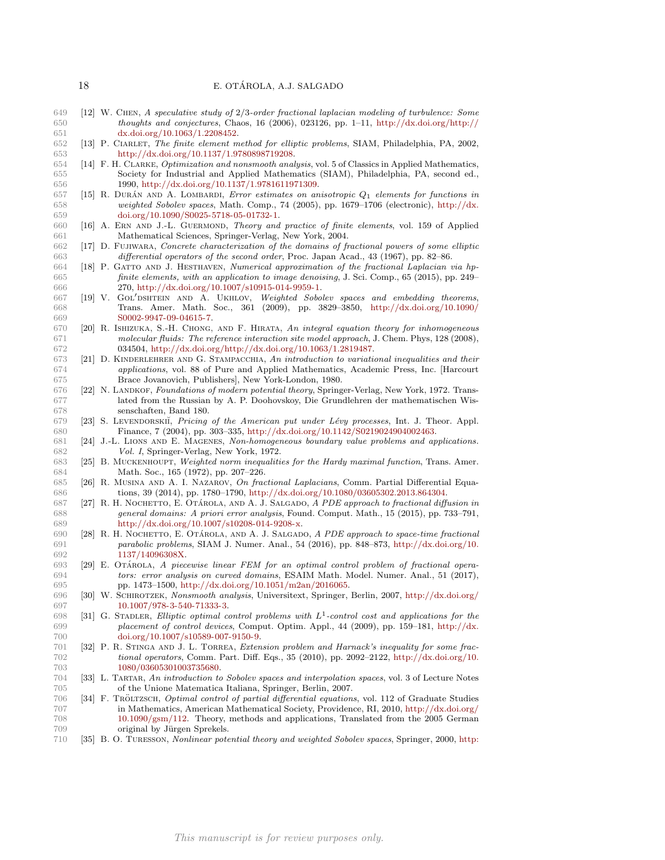- <span id="page-17-0"></span> [12] W. Chen, A speculative study of 2/3-order fractional laplacian modeling of turbulence: Some thoughts and conjectures, Chaos, 16 (2006), 023126, pp. 1–11, [http://dx.doi.org/http://](http://dx.doi.org/http://dx.doi.org/10.1063/1.2208452) [dx.doi.org/10.1063/1.2208452.](http://dx.doi.org/http://dx.doi.org/10.1063/1.2208452)
- <span id="page-17-20"></span> [13] P. Ciarlet, The finite element method for elliptic problems, SIAM, Philadelphia, PA, 2002, [http://dx.doi.org/10.1137/1.9780898719208.](http://dx.doi.org/10.1137/1.9780898719208)
- <span id="page-17-16"></span> [14] F. H. Clarke, Optimization and nonsmooth analysis, vol. 5 of Classics in Applied Mathematics, Society for Industrial and Applied Mathematics (SIAM), Philadelphia, PA, second ed., 1990, [http://dx.doi.org/10.1137/1.9781611971309.](http://dx.doi.org/10.1137/1.9781611971309)
- <span id="page-17-22"></span>657 [15] R. DURÁN AND A. LOMBARDI, Error estimates on anisotropic  $Q_1$  elements for functions in weighted Sobolev spaces, Math. Comp., 74 (2005), pp. 1679–1706 (electronic), [http://dx.](http://dx.doi.org/10.1090/S0025-5718-05-01732-1) [doi.org/10.1090/S0025-5718-05-01732-1.](http://dx.doi.org/10.1090/S0025-5718-05-01732-1)
- <span id="page-17-21"></span>660 [16] A. ERN AND J.-L. GUERMOND, Theory and practice of finite elements, vol. 159 of Applied Mathematical Sciences, Springer-Verlag, New York, 2004.
- <span id="page-17-12"></span> [17] D. Fujiwara, Concrete characterization of the domains of fractional powers of some elliptic differential operators of the second order, Proc. Japan Acad., 43 (1967), pp. 82–86.
- <span id="page-17-1"></span>664 [18] P. GATTO AND J. HESTHAVEN, Numerical approximation of the fractional Laplacian via hp- finite elements, with an application to image denoising, J. Sci. Comp., 65 (2015), pp. 249– 270, [http://dx.doi.org/10.1007/s10915-014-9959-1.](http://dx.doi.org/10.1007/s10915-014-9959-1)
- <span id="page-17-15"></span> [19] V. GOL'DSHTEIN AND A. UKHLOV, Weighted Sobolev spaces and embedding theorems, Trans. Amer. Math. Soc., 361 (2009), pp. 3829–3850, [http://dx.doi.org/10.1090/](http://dx.doi.org/10.1090/S0002-9947-09-04615-7) [S0002-9947-09-04615-7.](http://dx.doi.org/10.1090/S0002-9947-09-04615-7)
- <span id="page-17-2"></span>670 [20] R. ISHIZUKA, S.-H. CHONG, AND F. HIRATA, An integral equation theory for inhomogeneous molecular fluids: The reference interaction site model approach, J. Chem. Phys. 128 (2008). molecular fluids: The reference interaction site model approach, J. Chem. Phys, 128 (2008), 034504, [http://dx.doi.org/http://dx.doi.org/10.1063/1.2819487.](http://dx.doi.org/http://dx.doi.org/10.1063/1.2819487)
- <span id="page-17-19"></span>673 [21] D. KINDERLEHRER AND G. STAMPACCHIA, An introduction to variational inequalities and their applications, vol. 88 of Pure and Applied Mathematics, Academic Press, Inc. [Harcourt Brace Jovanovich, Publishers], New York-London, 1980.
- <span id="page-17-5"></span>676 [22] N. LANDKOF, Foundations of modern potential theory, Springer-Verlag, New York, 1972. Trans- lated from the Russian by A. P. Doohovskoy, Die Grundlehren der mathematischen Wis-senschaften, Band 180.
- <span id="page-17-3"></span>679 [23] S. LEVENDORSKII, Pricing of the American put under Lévy processes, Int. J. Theor. Appl. Finance, 7 (2004), pp. 303–335, [http://dx.doi.org/10.1142/S0219024904002463.](http://dx.doi.org/10.1142/S0219024904002463)
- <span id="page-17-10"></span> [24] J.-L. Lions and E. Magenes, Non-homogeneous boundary value problems and applications. Vol. I, Springer-Verlag, New York, 1972.
- <span id="page-17-13"></span> [25] B. Muckenhoupt, Weighted norm inequalities for the Hardy maximal function, Trans. Amer. Math. Soc., 165 (1972), pp. 207–226.
- <span id="page-17-6"></span> [26] R. Musina and A. I. Nazarov, On fractional Laplacians, Comm. Partial Differential Equa-tions, 39 (2014), pp. 1780–1790, [http://dx.doi.org/10.1080/03605302.2013.864304.](http://dx.doi.org/10.1080/03605302.2013.864304)
- <span id="page-17-7"></span>687 [27] R. H. NOCHETTO, E. OTÁROLA, AND A. J. SALGADO, A PDE approach to fractional diffusion in general domains: A priori error analysis, Found. Comput. Math., 15 (2015), pp. 733–791, [http://dx.doi.org/10.1007/s10208-014-9208-x.](http://dx.doi.org/10.1007/s10208-014-9208-x)
- <span id="page-17-23"></span>690 [28] R. H. NOCHETTO, E. OTÁROLA, AND A. J. SALGADO, A PDE approach to space-time fractional parabolic problems, SIAM J. Numer. Anal., 54 (2016), pp. 848–873, [http://dx.doi.org/10.](http://dx.doi.org/10.1137/14096308X) [1137/14096308X.](http://dx.doi.org/10.1137/14096308X)
- <span id="page-17-9"></span> [29] E. Otarola, A piecewise linear FEM for an optimal control problem of fractional opera- tors: error analysis on curved domains, ESAIM Math. Model. Numer. Anal., 51 (2017), pp. 1473–1500, [http://dx.doi.org/10.1051/m2an/2016065.](http://dx.doi.org/10.1051/m2an/2016065)
- <span id="page-17-17"></span> [30] W. Schirotzek, Nonsmooth analysis, Universitext, Springer, Berlin, 2007, [http://dx.doi.org/](http://dx.doi.org/10.1007/978-3-540-71333-3) [10.1007/978-3-540-71333-3.](http://dx.doi.org/10.1007/978-3-540-71333-3)
- <span id="page-17-4"></span> $[31]$  G. STADLER, Elliptic optimal control problems with  $L^1$ -control cost and applications for the placement of control devices, Comput. Optim. Appl., 44 (2009), pp. 159–181, [http://dx.](http://dx.doi.org/10.1007/s10589-007-9150-9) [doi.org/10.1007/s10589-007-9150-9.](http://dx.doi.org/10.1007/s10589-007-9150-9)
- <span id="page-17-8"></span> [32] P. R. Stinga and J. L. Torrea, Extension problem and Harnack's inequality for some frac- tional operators, Comm. Part. Diff. Eqs., 35 (2010), pp. 2092–2122, [http://dx.doi.org/10.](http://dx.doi.org/10.1080/03605301003735680) [1080/03605301003735680.](http://dx.doi.org/10.1080/03605301003735680)
- <span id="page-17-11"></span> [33] L. Tartar, An introduction to Sobolev spaces and interpolation spaces, vol. 3 of Lecture Notes of the Unione Matematica Italiana, Springer, Berlin, 2007.
- <span id="page-17-18"></span>706 [34] F. TRÖLTZSCH, Optimal control of partial differential equations, vol. 112 of Graduate Studies in Mathematics, American Mathematical Society, Providence, RI, 2010, [http://dx.doi.org/](http://dx.doi.org/10.1090/gsm/112) [10.1090/gsm/112.](http://dx.doi.org/10.1090/gsm/112) Theory, methods and applications, Translated from the 2005 German 709 original by Jürgen Sprekels.
- <span id="page-17-14"></span>[35] B. O. Turesson, Nonlinear potential theory and weighted Sobolev spaces, Springer, 2000, [http:](http://dx.doi.org/10.1007/BFb0103908)